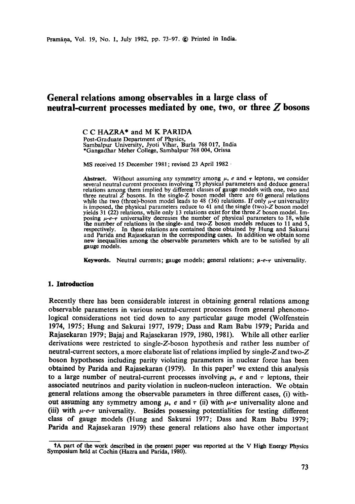# **General relations among observables in a large class of neutral-current processes mediated by one, two, or three Z bosons**

# C C HAZRA\* and M K PARIDA

Post-Graduate Department of Physics, Sambalpur University, Jyoti Vihar, Burla 768 017, India \*Gangadhar Meher College, Sambalpur 768 004, Orissa

MS received 15 December 1981; revised 23 April 1982 -

**Abstract.** Without assuming any symmetry among  $\mu$ , e and  $\tau$  leptons, we consider several neutral current processes involving 73 physical parameters and deduce general relations among them implied by different classes of gauge models with one, two and three neutral  $\overline{Z}$  bosons. In the single-Z boson model there are 60 general relations while the two (three)-boson model leads to 48 (36) relations. If only  $\mu$ -e universality is imposed, the physical parameters reduce to 41 and the single (two)-Z boson model yields 31 (22) relations, while only 13 relations exist for the three  $Z$  boson model. Imposing  $\mu$ -e- $\tau$  universality decreases the number of physical parameters to 18, while the number of relations in the single- and two-Z boson models reduces to 11 and 5, respectively. In these relations are contained those obtained by Hung and Sakurai and Parida and Rajasekaran in the corresponding cases. In addition we obtain some new inequalities among the observable parameters which are to be satisfied by all gauge models.

**Keywords.** Neutral currents; gauge models; general relations;  $\mu$ -e- $\tau$  universality.

### **1. Introduction**

Recently there has been considerable interest in obtaining general relations among observable parameters in various neutral-current processes from general phenomological considerations not tied down to any particular gauge model (Wolfenstein 1974, 1975; Hung and Sakurai 1977, 1979; Dass and Ram Babu 1979; Parida and Rajasekaran 1979; Bajaj and Rajasekaran 1979, 1980, 1981). While all other earlier derivations were restricted to single-Z-boson hypothesis and rather less number of neutral-current sectors, a more elaborate list of relations implied by single-Z and two-Z boson hypotheses including parity violating parameters in nuclear force has been obtained by Parida and Rajasekaran (1979). In this paper<sup>†</sup> we extend this analysis to a large number of neutral-current processes involving  $\mu$ , e and  $\tau$  leptons, their associated neutrinos and parity violation in nucleon-nucleon interaction. We obtain general relations among the observable parameters in three different cases, (i) without assuming any symmetry among  $\mu$ , e and  $\tau$  (ii) with  $\mu$ -e universality alone and (iii) with  $\mu$ -e- $\tau$  universality. Besides possessing potentialities for testing different class of gauge models (Hung and Sakurai 1977; Dass and Ram Babu 1979; Parida and Rajasekaran 1979) these general relations also have other important

tA part of the work described in the present paper was reported at the V High Energy Physics Symposium held at Cochin (Hazxa and Parida, 1980).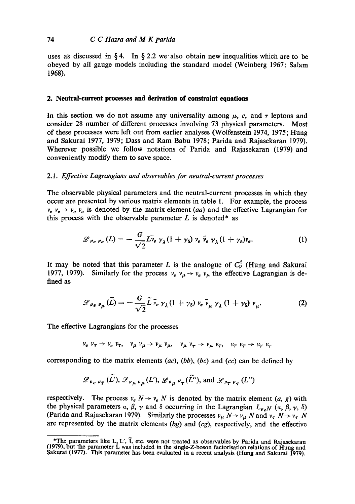## 74 *C C ttazra and M K parida*

uses as discussed in § 4. In § 2.2 we also obtain new inequalities which are to be obeyed by all gauge models including the standard model (Weinberg 1967; Salam 1968).

## **2. Neutral-current processes and derivation of constraint equations**

In this section we do not assume any universality among  $\mu$ , e, and  $\tau$  leptons and consider 28 number of different processes involving 73 physical parameters. Most of these processes were left out from earlier analyses (Wolfenstein 1974, 1975; Hung and Sakurai 1977, 1979; Dass and Ram Babu 1978; Parida and Rajasekaran 1979). Wherever possible we follow notations of Parida and Rajasekaran (1979) and conveniently modify them to save space.

#### *2.1. Effective Lagrangians and observables for neutral-current processes*

The observable physical parameters and the neutral-current processes in which they occur are presented by various matrix elements in table 1. For example, the process  $v_e$ ,  $v_e \rightarrow v_e$ ,  $v_e$  is denoted by the matrix element *(aa)* and the effective Lagrangian for this process with the observable parameter  $L$  is denoted\* as

$$
\mathscr{L}_{\nu_e \nu_e}(L) = -\frac{G}{\sqrt{2}} L \bar{\nu}_e \gamma_{\lambda} (1 + \gamma_5) \nu_e \bar{\nu}_e \gamma_{\lambda} (1 + \gamma_5) \nu_e.
$$
 (1)

It may be noted that this parameter L is the analogue of  $C_v^2$  (Hung and Sakurai 1977, 1979). Similarly for the process  $v_e v_\mu \rightarrow v_e v_\mu$  the effective Lagrangian is defined as

$$
\mathscr{L}_{\nu_e \nu_\mu}(\tilde{L}) = -\frac{G}{\sqrt{2}} \tilde{L} \, \bar{\nu}_e \, \gamma_\lambda (1 + \gamma_5) \, \nu_e \, \bar{\nu}_\mu \, \gamma_\lambda (1 + \gamma_5) \, \nu_\mu. \tag{2}
$$

The effective Lagrangians for the processes

$$
v_e v_\tau \to v_e v_\tau, v_\mu v_\mu \to v_\mu v_\mu, v_\mu v_\tau \to v_\mu v_\tau, v_\tau v_\tau \to v_\tau v_\tau
$$

corresponding to the matrix elements (ac), (bb), *(bc)* and *(cc)* can be defined by

$$
\mathscr{L}_{\nu_e \nu_\tau}(\tilde{L}'), \mathscr{L}_{\nu_\mu \nu_\mu}(L'), \mathscr{L}_{\nu_\mu \nu_\tau}(\tilde{L}'), \text{ and } \mathscr{L}_{\nu_\tau \nu_\tau}(L'')
$$

respectively. The process  $v_e N \rightarrow v_e N$  is denoted by the matrix element  $(a, g)$  with the physical parameters  $\alpha$ ,  $\beta$ ,  $\gamma$  and  $\delta$  occurring in the Lagrangian  $L_{\nu}N$  ( $\alpha$ ,  $\beta$ ,  $\gamma$ ,  $\delta$ ) (Parida and Rajasekaran 1979). Similarly the processes  $v_{\mu} N \rightarrow v_{\mu} N$  and  $v_{\tau} N \rightarrow v_{\tau} N$ are represented by the matrix elements *(bg)* and *(cg),* respectively, and the effective

<sup>\*</sup>The parameters like L, L',  $\tilde{L}$  etc. were not treated as observables by Parida and Rajasekaran (1979), but the parameter L was included in the single-Z-boson factorisation relations of Hung and Sakurai (1977). This parameter has been evaluated in a recent analysis (Hung and Sakurai 1979).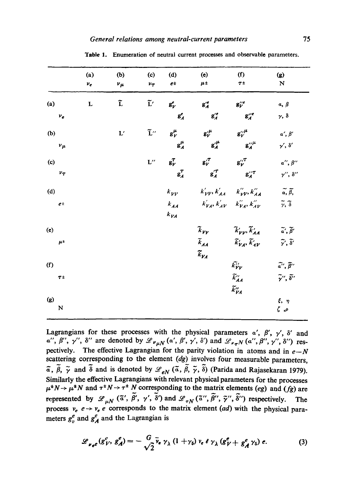|                                 | (a)<br>$\nu_e$ | (b)<br>$\nu_{\mu}$ | (c)<br>$v_{\tau}$ | (d)<br>$e^{\pm}$                           | (e)<br>$\mu$ ±                                                       | (f)<br>$T^{\pm}$                                                                     | $\bf(g)$<br>${\bf N}$                    |
|---------------------------------|----------------|--------------------|-------------------|--------------------------------------------|----------------------------------------------------------------------|--------------------------------------------------------------------------------------|------------------------------------------|
| (a)                             | $\mathbf L$    | ĩ                  |                   | $\tilde{\mathbf{L}}'$ $\mathbf{g}_{V}^{e}$ | $g_A^{\prime e}$                                                     | $\mathbf{g}_{\nu}^{\prime\prime e}$                                                  | $a, \beta$                               |
| $\boldsymbol{\nu_e}$            |                |                    |                   | $\mathbf{g}^e_A$                           | $g''_A$                                                              | $g''_A$                                                                              | $\gamma$ , $\delta$                      |
| (b)                             |                | $\mathbf{L}'$      |                   | $\tilde{L}''$ $g_V^{\mu}$                  | $g^{\prime \mu}_V$                                                   | $g^{\prime\prime}_{\nu}{}^{\mu}$                                                     | $\alpha',\,\beta'$                       |
| $\nu_{\mu}$                     |                |                    |                   | $g_A^{\mu}$                                | $g_A^{\prime \mu}$                                                   | $g^{\prime\prime\mu}_A$                                                              | $\gamma', \delta'$                       |
| (c)                             |                |                    |                   | $L''$ $g_V^T$                              | $g^{\prime T}_{V}$ $g^{\prime T}_{V}$                                |                                                                                      | $\alpha'', \beta''$                      |
| $v_T$                           |                |                    |                   | $g_A^T$                                    | $g_A^{\prime \tau}$                                                  | $g^{\prime\prime\tau}_A$                                                             | $\gamma'', \delta''$                     |
| (d)                             |                |                    |                   | $k_{VV}$                                   |                                                                      | $k'_{VV}$ , $k'_{AA}$ $k''_{VV}$ , $k''_{AA}$                                        | $\widetilde{a}, \widetilde{\beta},$      |
| $e^{\pm}$                       |                |                    |                   | $k_{AA}$<br>$k_{VA}$                       |                                                                      | $k'_{VA}$ , $k'_{AV}$ $k''_{VA}$ , $k''_{AV}$                                        | $\widetilde{\gamma}, \widetilde{\delta}$ |
| (e)                             |                |                    |                   |                                            | $\tilde{k}_{\gamma\gamma}$                                           | $\widetilde{k}'_{\bm{\mathcal{V}} \bm{\mathcal{V}}}, \widetilde{k}'_{\bm{A} \bm{A}}$ | $\tilde{a}', \tilde{\beta}'$             |
| $\mu^{\pm}$                     |                |                    |                   |                                            | $\widetilde{k}_{AA}$<br>$\widetilde{k}_{\boldsymbol{\mathcal{V}}_A}$ | $\widetilde{k}_{VA}^{\prime}, \widetilde{k}_{AV}^{\prime}$                           | $\tilde{\gamma}, \tilde{\delta}'$        |
| (f)                             |                |                    |                   |                                            |                                                                      | $\widetilde{k'_{\boldsymbol{V}}\boldsymbol{V}}$                                      | $\widetilde{a''}, \widetilde{\beta''}$   |
| $T^{\pm}$                       |                |                    |                   |                                            |                                                                      | $\widetilde{k}_{AA}^{\prime\prime}$<br>$\tilde{k}''_{VA}$                            | $\tilde{\gamma}$ ", $\tilde{\delta}$ "   |
| $\left( \mathbf{g}\right)$<br>N |                |                    |                   |                                            |                                                                      |                                                                                      | $\xi, \eta$<br>$\zeta$ , $\rho$          |

Table 1. Enumeration of neutral current processes and observable parameters.

Lagrangians for these processes with the physical parameters  $\alpha'$ ,  $\beta'$ ,  $\gamma'$ ,  $\delta'$  and  $\alpha''$ ,  $\beta''$ ,  $\gamma''$ ,  $\delta''$  are denoted by  $\mathscr{L}_{\nu\mu N}(\alpha', \beta', \gamma', \delta')$  and  $\mathscr{L}_{\nu\tau N}(\alpha'', \beta'', \gamma'', \delta'')$  respectively. The effective Lagrangian for the parity violation in atoms and in  $e-N$ scattering corresponding to the element *(dg)* involves four measurable parameters,  $\tilde{a}$ ,  $\tilde{\beta}$ ,  $\tilde{\gamma}$  and  $\tilde{\delta}$  and is denoted by  $\mathscr{L}_{eN}$  ( $\tilde{a}$ ,  $\tilde{\beta}$ ,  $\tilde{\gamma}$ ,  $\tilde{\delta}$ ) (Parida and Rajasekaran 1979). Similarly the effective Lagrangians with relevant physical parameters for the processes  $\mu^*N \rightarrow \mu^*N$  and  $\tau^*N \rightarrow \tau^*N$  corresponding to the matrix elements *(eg)* and *(fg)* are represented by  $\mathscr{L}_{\mu N}$  ( $\tilde{\alpha}'$ ,  $\tilde{\beta}'$ ,  $\gamma'$ ,  $\tilde{\delta}'$ ) and  $\mathscr{L}_{\tau N}$  ( $\tilde{\alpha}''$ ,  $\tilde{\beta}''$ ,  $\tilde{\gamma}''$ ,  $\tilde{\delta}''$ ) respectively. The process  $v_e$   $e \rightarrow v_e$  e corresponds to the matrix element *(ad)* with the physical parameters  $g_n^e$  and  $g_A^e$  and the Lagrangian is

$$
\mathscr{L}_{\nu_e e}(g_V^e, g_A^e) = -\frac{G}{\sqrt{2}} \bar{\nu}_e \gamma_\lambda (1 + \gamma_5) \nu_e \hat{\epsilon} \gamma_\lambda (g_V^e + g_A^e \gamma_5) e. \tag{3}
$$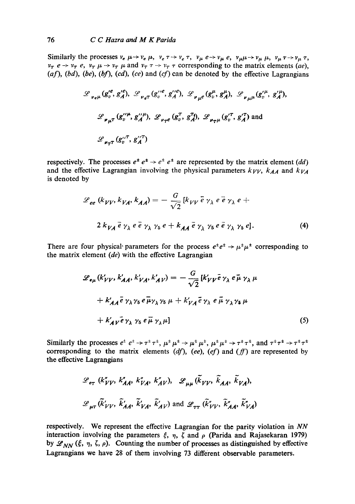Similarly the processes  $v_e\mu \rightarrow v_e\mu$ ,  $v_e\tau \rightarrow v_e\tau$ ,  $v_\mu e \rightarrow v_\mu e$ ,  $v_\mu\mu \rightarrow v_\mu \mu$ ,  $v_\mu \tau \rightarrow v_\mu \tau$ ,  $v_{\tau}$   $e \rightarrow v_{\tau}$   $e$ ,  $v_{\tau}$   $\mu \rightarrow v_{\tau}$   $\mu$  and  $v_{\tau}$   $\tau \rightarrow v_{\tau}$   $\tau$  corresponding to the matrix elements *(ae)*, (af), (bd), (be), (bf), (cd), (ce) and (cf) can be denoted by the effective Lagrangians

$$
\mathcal{L}_{\nu_{e^{\mu}}} (g_{v}^{\prime e}, g_{A}^{\prime e}), \mathcal{L}_{\nu_{e^{\tau}}} (g_{v}^{\prime \prime e}, g_{A}^{\prime \prime e}), \mathcal{L}_{\nu_{\mu}e} (g_{v}^{\mu}, g_{A}^{\mu}), \mathcal{L}_{\nu_{\mu} \mu} (g_{v}^{\prime \mu}, g_{A}^{\prime \mu}),
$$
  

$$
\mathcal{L}_{\nu_{\mu} \tau} (g_{v}^{\prime \prime \mu}, g_{A}^{\prime \prime \mu}), \mathcal{L}_{\nu_{\tau} e} (g_{v}^{\tau}, g_{A}^{\tau \mu}), \mathcal{L}_{\nu_{\tau} \mu} (g_{v}^{\prime \tau}, g_{A}^{\prime \tau}) \text{ and}
$$
  

$$
\mathcal{L}_{\nu_{\tau} \tau} (g_{v}^{\prime \prime \tau}, g_{A}^{\prime \prime \tau})
$$

respectively. The processes  $e^+ e^+ \rightarrow e^+ e^+$  are represented by the matrix element *(dd)* and the effective Lagrangian involving the physical parameters  $k_{VV}$ ,  $k_{AA}$  and  $k_{VA}$ is denoted by

$$
\mathcal{L}_{ee} (k_{VV}, k_{VA}, k_{AA}) = -\frac{G}{\sqrt{2}} [k_{VV} \overline{e} \gamma_{\lambda} e \overline{e} \gamma_{\lambda} e +
$$
  

$$
2 k_{VA} \overline{e} \gamma_{\lambda} e \overline{e} \gamma_{\lambda} \gamma_5 e + k_{AA} \overline{e} \gamma_{\lambda} \gamma_5 e \overline{e} \gamma_{\lambda} \gamma_5 e].
$$
 (4)

There are four physical parameters for the process  $e^+e^+ \rightarrow \mu^+\mu^+$  corresponding to the matrix element *(de)* with the effective Lagrangian

$$
\mathcal{L}_{e\mu}(k'_{VV}, k'_{AA}, k'_{VA}, k'_{AV}) = -\frac{G}{\sqrt{2}}[k'_{VV}\bar{e}\gamma_{\lambda} e\bar{\mu}\gamma_{\lambda}\mu
$$
  
+  $k'_{AA}\bar{e}\gamma_{\lambda}\gamma_{5} e\bar{\mu}\gamma_{\lambda}\gamma_{5}\mu + k'_{VA}\bar{e}\gamma_{\lambda} e\bar{\mu}\gamma_{\lambda}\gamma_{5}\mu$   
+  $k'_{AV}\bar{e}\gamma_{\lambda}\gamma_{5} e\bar{\mu}\gamma_{\lambda}\mu]$  (5)

Similarly the processes  $e^{\pm} e^{\pm} \rightarrow \tau^{\pm} \tau^{\pm}$ ,  $\mu^{\pm} \mu^{\pm} \rightarrow \mu^{\pm} \mu^{\pm}$ ,  $\mu^{\pm} \mu^{\pm} \rightarrow \tau^{\pm} \tau^{\pm}$ , and  $\tau^{\pm} \tau^{\pm} \rightarrow \tau^{\pm} \tau^{\pm}$ corresponding to the matrix elements  $(df)$ ,  $(ee)$ ,  $(ef)$  and  $(ff)$  are represented by the effective Lagrangians

$$
\mathcal{L}_{e\tau} (k''_{VV}, k''_{AA}, k''_{VA}, k''_{AV}), \mathcal{L}_{\mu\mu} (\tilde{k}_{VV}, \tilde{k}_{AA}, \tilde{k}_{VA}),
$$
  

$$
\mathcal{L}_{\mu\tau} (\tilde{k}'_{VV}, \tilde{k}'_{AA}, \tilde{k}'_{VA}, \tilde{k}'_{AV}) \text{ and } \mathcal{L}_{\tau\tau} (\tilde{k}''_{VV}, \tilde{k}''_{AA}, \tilde{k}''_{VA})
$$

respectively. We represent the effective Lagrangian for the parity violation in *NN*  interaction involving the parameters  $\xi$ ,  $\eta$ ,  $\zeta$  and  $\rho$  (Parida and Rajasekaran 1979) by  $\mathscr{L}_{NN}$  ( $\xi$ ,  $\eta$ ,  $\zeta$ ,  $\rho$ ). Counting the number of processes as distinguished by effective Lagrangians we have 28 of them involving 73 different observable parameters.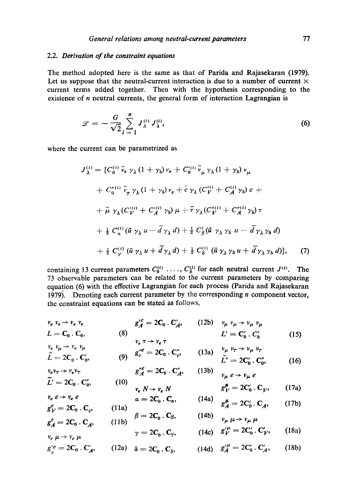## 2.2. *Derivation of the constraint equations*

The method adopted here is the same as that of Parida and Rajasekaran (1979). Let us suppose that the neutral-current interaction is due to a number of current  $\times$ current terms added together. Then with the hypothesis corresponding to the existence of *n* neutral currents, the general form of interaction Lagrangian is

$$
\mathcal{L} = -\frac{G}{\sqrt{2}} \sum_{i=1}^{n} J_{\lambda}^{(i)} J_{\lambda}^{(i)}, \qquad (6)
$$

where the current can be parametrized as

$$
J_{\lambda}^{(i)} = [C_0^{(i)} \bar{\nu}_e \gamma_{\lambda} (1 + \gamma_5) \nu_e + C_0^{\prime(i)} \bar{\nu}_{\mu} \gamma_{\lambda} (1 + \gamma_5) \nu_{\mu} + C_0^{\prime\prime(i)} \bar{\nu}_\tau \gamma_{\lambda} (1 + \gamma_5) \nu_\tau + \bar{e} \gamma_{\lambda} (C_V^{\prime i}) + C_A^{\prime i} \gamma_5) e ++ \bar{\mu} \gamma_{\lambda} (C_V^{\prime(i)} + C_A^{\prime i} \gamma_5) \mu + \bar{\tau} \gamma_{\lambda} (C_V^{\prime\prime(i)} + C_A^{\prime\prime(i)} \gamma_5) \tau + \frac{1}{2} C_\alpha^{(i)} (\bar{u} \gamma_{\lambda} u - \bar{d} \gamma_{\lambda} d) + \frac{1}{2} C_\beta^i (\bar{u} \gamma_{\lambda} \gamma_5 u - \bar{d} \gamma_{\lambda} \gamma_5 d) + \frac{1}{2} C_\gamma^{(i)} (\bar{u} \gamma_{\lambda} u + \bar{d} \gamma_{\lambda} d) + \frac{1}{2} C_\delta^{(i)} (\bar{u} \gamma_{\lambda} \gamma_5 u + \bar{d} \gamma_{\lambda} \gamma_5 d)], \qquad (7)
$$

containing 13 current parameters  $C_0^{(i)}$  ....,  $C_{\delta}^{(i)}$  for each neutral current  $J^{(i)}$ . The 73 observable parameters can be related to the current parameters by comparing equation (6) with the effective Lagrangian for each process (Parida and Rajasekaran 1979). Denoting each current parameter by the corresponding  $n$  component vector, the constraint equations can be stated as follows,

$$
\begin{aligned}\n v_e \ v_e \rightarrow v_e \ v_e \\
 L &= \mathbf{C}_0 \cdot \mathbf{C}_0, \\
 L &= \mathbf{C}_0 \cdot \mathbf{C}_0, \\
 v_e \tau &\rightarrow v_e \tau\n \end{aligned}\n \qquad (12b) \qquad\n \begin{aligned}\n v_\mu \ v_\mu &\rightarrow v_\mu \ v_\mu \\
 L' &= \mathbf{C}_0' \cdot \mathbf{C}_0' \\
 L' &= \mathbf{C}_0' \cdot \mathbf{C}_0'\n \end{aligned}\n \qquad (15)
$$

$$
\tilde{L} = 2C_0 \cdot C'_0, \qquad (9) \quad g_v''^e = 2C_0 \cdot C'_v, \qquad (13a) \quad \begin{array}{l} v_\mu \ v_\tau \to v_\mu \ v_\tau \\ \tilde{L}'' = 2C'_0 \cdot C''_0, \end{array} \qquad (16)
$$

$$
v_e v_\tau \to v_e v_\tau
$$
  
\n
$$
\tilde{L}' = 2C_0 \cdot C_0'', \qquad (10)
$$
  
\n
$$
\tilde{L}' = 2C_0 \cdot C_0'', \qquad (10)
$$
  
\n
$$
v_\mu e \to v_\mu e
$$
  
\n
$$
v_\mu e \to v_\mu e
$$

$$
v_e R \rightarrow v_e R
$$
\n
$$
v_e R \rightarrow v_e R
$$
\n
$$
v_e \rightarrow v_e e
$$
\n
$$
a = 2C_0 \cdot C_2, \qquad (14a)
$$
\n
$$
v_e \rightarrow v_e e
$$
\n
$$
v_e \rightarrow v_e e
$$
\n
$$
a = 2C_0 \cdot C_2, \qquad (14b)
$$
\n
$$
v_e \rightarrow v_e e
$$
\n
$$
v_e \rightarrow v_e e
$$
\n
$$
v_e \rightarrow v_e e
$$
\n
$$
v_e \rightarrow v_e e
$$
\n
$$
v_e \rightarrow v_e e
$$
\n
$$
v_e \rightarrow v_e e
$$

$$
g_{V}^{e} = 2C_{0} \cdot C_{v}, \qquad (11a)
$$
  
\n
$$
\beta = 2C_{0} \cdot C_{\beta}, \qquad (14b)
$$
  
\n
$$
g_{A}^{e} = 2C_{0}^{c} \cdot C_{A}, \qquad (17b)
$$
  
\n
$$
g_{V}^{e} = 2C_{0} \cdot C_{A}, \qquad (17b)
$$

$$
s_A - 2c_0 \cdot c_A, \qquad (115)
$$
  
\n
$$
v_e \mu \rightarrow v_e \mu \qquad \qquad \gamma = 2C_0 \cdot C_\gamma, \qquad (14c) \quad g'^{\mu}_V = 2C'_0 \cdot C'_V, \qquad (18a)
$$

$$
g_{v}^{\prime e} = 2\mathbf{C}_{0} \cdot \mathbf{C}_{A}^{\prime}, \qquad (12a) \quad \delta = 2\mathbf{C}_{0} \cdot \mathbf{C}_{\delta}, \qquad (14d) \quad g_{A}^{\prime \mu} = 2\mathbf{C}_{0}^{\prime} \cdot \mathbf{C}_{A}^{\prime}, \qquad (18b)
$$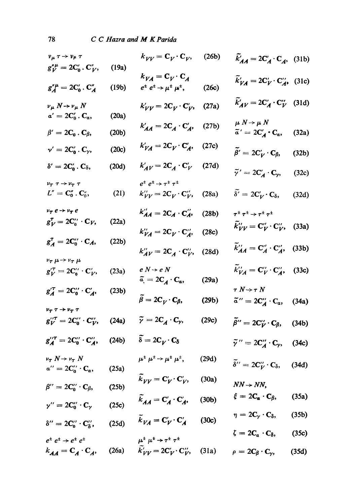| $v_{\mu} \tau \rightarrow v_{\mu} \tau$                                             |       | $k_{VV} = \mathbf{C}_V \cdot \mathbf{C}_V$ , (26b)                                                                  |       | $\widetilde{k}'_{AA} = 2C'_A \cdot C_A$ , (31b)                                                                |       |
|-------------------------------------------------------------------------------------|-------|---------------------------------------------------------------------------------------------------------------------|-------|----------------------------------------------------------------------------------------------------------------|-------|
| $g''_{V} = 2C'_{0} \cdot C''_{V},$                                                  | (19a) |                                                                                                                     |       |                                                                                                                |       |
| $g_A''^{\mu} = 2C_0'$ . $C_A''$                                                     | (19b) | $k_{VA} = \mathbf{C}_V \cdot \mathbf{C}_A$<br>$e^{\pm} e^{\pm} \rightarrow \mu^{\pm} \mu^{\pm}$ ,                   | (26c) | $\widetilde{k}'_{VA} = 2\mathbf{C}'_V \cdot \mathbf{C}''_{A}$ , (31c)                                          |       |
| $\nu_\mu N \rightarrow \nu_\mu N$                                                   |       | $k'_{VV} = 2C_V \cdot C'_V$ , (27a)                                                                                 |       | $\widetilde{k}'_{AV} = 2C'_A \cdot C''_V$ (31d)                                                                |       |
| $\alpha' = 2C_0'$ . $C_{\alpha}$ ,                                                  | (20a) |                                                                                                                     |       | $\mu~N\!\rightarrow\mu~N$                                                                                      |       |
| $\beta'=2C_0$ . $C_\beta$ ,                                                         | (20b) | $k'_{AA} = 2C_A \cdot C'_A$ , (27b)                                                                                 |       | $\widetilde{a}' = 2C'_A \cdot C_\alpha,$ (32a)                                                                 |       |
| $v' = 2C'_0 \cdot C_\gamma$ ,                                                       | (20c) | $k'_{VA} = 2C_V \cdot C'_A$ , (27c)                                                                                 |       | $\widetilde{\beta}' = 2C_V' \cdot C_{\beta},$                                                                  | (32b) |
| $\delta' = 2C_0'$ . $C_\delta$ ,                                                    | (20d) | $k'_{AV} = 2C_A \cdot C_V'$ (27d)                                                                                   |       | $\widetilde{\gamma}' = 2C'_A \cdot C_{\gamma},$                                                                | (32c) |
| $\nu_{\tau} \tau \rightarrow \nu_{\tau} \tau$                                       |       | $e^{\pm} e^{\pm} \rightarrow \tau^{\pm} \tau^{\pm}$                                                                 |       |                                                                                                                |       |
| $L'' = \mathbf{C}_0'' \cdot \mathbf{C}_0''$ ,                                       | (21)  | $k_{VV}^{\prime\prime} = 2\mathbf{C}_V \cdot \mathbf{C}_V^{\prime\prime}$ , (28a)                                   |       | $\widetilde{\delta'} = 2\mathbf{C}'_{V} \cdot \mathbf{C}_{\delta},$                                            | (32d) |
| $v_{\tau} e \rightarrow v_{\tau} e$                                                 |       | $k''_{AA} = 2C_A \cdot C''_A$                                                                                       | (28b) | $\tau^\pm \, \tau^\pm \rightarrow \tau^\pm \, \tau^\pm$                                                        |       |
| $g_V^{\tau} = 2C_0^{\prime\prime} \cdot C_V,$                                       | (22a) | $k_{VA}^{\prime\prime}=2C_V\cdot C_A^{\prime\prime}$                                                                | (28c) | $\widetilde{k}_{VV}'' = \mathbf{C}_{V}'' \cdot \mathbf{C}_{V}''$ , (33a)                                       |       |
| $g_A^T = 2C_0'' \cdot C_A,$                                                         | (22b) | $k''_{AV} = 2C_A \cdot C''_V$ , (28d)                                                                               |       | $\widetilde{k}_{AA}^{\prime\prime} = \mathbf{C}_A^{\prime\prime} \cdot \mathbf{C}_A^{\prime\prime}$ , (33b)    |       |
| $\nu_{\tau} \mu \rightarrow \nu_{\tau} \mu$                                         |       |                                                                                                                     |       |                                                                                                                |       |
| $g_V^{\prime \tau} = 2C_0^{\prime \prime} \cdot C_V^{\prime},$                      | (23a) | $e\ N\rightarrow e\ N$<br>$\label{eq:alpha} \widetilde{\alpha} = 2\mathbf{C}_\mathbf{A}\cdot\mathbf{C}_\mathbf{a},$ | (29a) | $\widetilde{k}_{VA}^{\prime\prime} = \mathbf{C}_{V}^{\prime\prime} \cdot \mathbf{C}_{A}^{\prime\prime},$ (33c) |       |
| $g'^{T}_A = 2C''_0 \cdot C'_A,$                                                     | (23b) |                                                                                                                     |       | $\tau\ N\!\rightarrow\!\tau\ N$                                                                                |       |
| $\nu_{\scriptscriptstyle T} \, \tau \rightarrow \nu_{\scriptscriptstyle T} \, \tau$ |       | $\ddot{\beta}=2C_V\cdot C_\beta,$                                                                                   | (29b) | $\tilde{a}^{\prime\prime} = 2C_A^{\prime\prime} \cdot C_a$ , (34a)                                             |       |
| $g_{V}^{\prime\prime\tau} = 2C_0^{\prime\prime} \cdot C_{V}^{\prime\prime}$ , (24a) |       | $\widetilde{\gamma}=2\mathbf{C}_{\mathbf{A}}\cdot\mathbf{C}_{\gamma},$                                              | (29c) | $\widetilde{\beta}^{\prime\prime}=2\mathbf{C}_{\mathbf{\mathcal{V}}}^{\prime\prime}\cdot\mathbf{C}_{\beta},$   | (34b) |
| $g''^{\tau}_{A} = 2C''_{0} \cdot C''_{A},$ (24b)                                    |       | $\widetilde{\delta} = 2C_V \cdot C_{\delta}$                                                                        |       | $\tilde{\gamma}'' = 2C''_A \cdot C_{\gamma}$ , (34c)                                                           |       |
| $\nu_{\tau} N \rightarrow \nu_{\tau} N$                                             |       | $\mu^{\pm}$ $\mu^{\pm}$ $\rightarrow$ $\mu^{\pm}$ $\mu^{\pm}$ ,                                                     | (29d) |                                                                                                                |       |
| $a^{\prime\prime}=2C_0^{\prime\prime}\cdot C_a,$                                    | (25a) |                                                                                                                     |       | $\tilde{\delta}^{\prime\prime} = 2\mathbf{C}_{V}^{\prime\prime}\cdot\mathbf{C}_{\delta},$ (34d)                |       |
| $\beta'' = 2C_0'' \cdot C_\beta,$                                                   | (25b) | $k_{VV} = \mathbf{C}'_V \cdot \mathbf{C}'_V$ , (30a)                                                                |       | $NN \rightarrow NN$ ,                                                                                          |       |
| $\gamma^{\prime\prime}=2\mathbf{C}_0^{\prime\prime}\cdot\mathbf{C}_\gamma$          | (25c) | $\widetilde{k}_{AA} = \mathbf{C}'_A \cdot \mathbf{C}'_A$ , (30b)                                                    |       | $\xi = 2C_{\alpha} \cdot C_{\beta},$                                                                           | (35a) |
| $\delta^{\prime\prime}=2C_0^{\prime\prime}\cdot C_\delta^{\prime\prime},$           | (25d) | $\tilde{k}_{VA} = \mathbf{C}'_V \cdot \mathbf{C}'_A$ (30c)                                                          |       | $\eta = 2C_\gamma \cdot C_\delta,$                                                                             | (35b) |
| $e^{\pm} e^{\pm} \rightarrow e^{\pm} e^{\pm}$                                       |       | $\mu^{\pm}$ $\mu^{\pm}$ $\rightarrow$ $\tau^{\pm}$ $\tau^{\pm}$                                                     |       | $\zeta = 2C_{\alpha} \cdot C_{\delta},$                                                                        | (35c) |
|                                                                                     |       | $k_{AA} = C_A \cdot C_A$ , (26a) $\tilde{k}'_{VV} = 2C'_V \cdot C''_V$ , (31a) $\rho = 2C_\beta \cdot C_\gamma$ ,   |       |                                                                                                                | (35d) |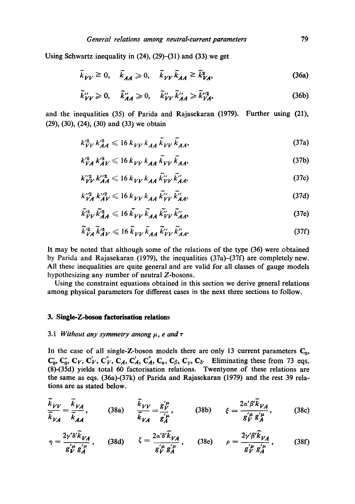Using Schwartz inequality in  $(24)$ ,  $(29)$ – $(31)$  and  $(33)$  we get

$$
\tilde{k}_{VV} \ge 0, \quad \tilde{k}_{AA} \ge 0, \quad \tilde{k}_{VV} \tilde{k}_{AA} \ge \tilde{k}_{VA}^2,
$$
\n(36a)

$$
\tilde{k}_{VV}^{"}\geqslant 0, \quad \tilde{k}_{AA}^{"}\geqslant 0, \quad \tilde{k}_{VV}^{"}\tilde{k}_{AA}^{"}\geqslant \tilde{k}_{VA}^{"2}, \tag{36b}
$$

and the inequalities (35) of Parida and Rajasekaran (1979). Further using (21), (29), (30), (24), (30) and (33) we obtain

$$
k_{VV}^2 k_{AA}^{\prime 2} \leqslant 16 \, k_{VV} \, k_{AA} \, \widetilde{k}_{VV} \, \widetilde{k}_{AA}, \tag{37a}
$$

$$
k_{VA}^{\prime 2} k_{AV}^{\prime 2} \le 16 \, k_{VV} \, k_{AA} \, \tilde{k}_{VV} \, \tilde{k}_{AA}, \tag{37b}
$$

$$
k_{VV}^{\prime\prime 2} k_{AA}^{\prime\prime 2} \leqslant 16 \, k_{VV} \, k_{AA} \, \tilde{k}_{VV}^{\prime\prime} \, \tilde{k}_{AA}^{\prime\prime},\tag{37c}
$$

$$
k_{VA}^{"2} k_{AV}^{"2} \le 16 k_{VV} k_{AA} \tilde{k}_{VV}^{"2} \tilde{k}_{AA}^{"}
$$
 (37d)

$$
\tilde{k}_{VV}^2 \tilde{k}_{AA}^2 \leqslant 16 \, \tilde{k}_{VV} \, \tilde{k}_{AA} \, \tilde{k}_{VV}^{\prime} \, \tilde{k}_{AA}^{\prime},\tag{37e}
$$

$$
\tilde{k}_{VA}^{\prime 2} \tilde{k}_{AV}^{\prime 2} \leqslant 16 \tilde{k}_{VV} \tilde{k}_{AA} \tilde{k}_{VV}^{\prime} \tilde{k}_{AA}^{\prime}. \tag{37f}
$$

It may be noted that although some of the relations of the type (36) were obtained by Parida and Rajasekaran (1979), the inequalities (37a)-(37f) are completely new. All these inequalities are quite general and are valid for all classes of gauge models hypothesizing any number of neutral Z-bosons.

Using the constraint equations obtained in this section we derive general relations among physical parameters for different cases in the next three sections to follow.

#### **3. Single-Z-boson faetorisation relations**

 $\overline{\phantom{0}}$ 

## 3.1 *Without any symmetry among*  $\mu$ , *e and*  $\tau$

In the case of all single-Z-boson models there are only 13 current parameters  $C_0$ ,  $\mathbf{C}'_0$ ,  $\mathbf{C}''_0$ ,  $\mathbf{C}_V$ ,  $\mathbf{C}'_V$ ,  $\mathbf{C}'_A$ ,  $\mathbf{C}'_A$ ,  $\mathbf{C}''_A$ ,  $\mathbf{C}_\alpha$ ,  $\mathbf{C}_\beta$ ,  $\mathbf{C}_\gamma$ ,  $\mathbf{C}_\delta$ . Eliminating these from 73 eqs. **(8)-(35d) yields total 60 factorisation relations. Twentyone of these relations are the same as eqs. (36a)-(37k) of Parida and Rajasekaran (1979) and the rest 39 relations are as stated below.** 

$$
\frac{\tilde{k}_{VV}}{\tilde{k}_{VA}} = \frac{\tilde{k}_{VA}}{\tilde{k}_{AA}}, \qquad (38a) \qquad \frac{\tilde{k}_{VV}}{\tilde{k}_{VA}} = \frac{g_V^{'\mu}}{g_A^{'\mu}}, \qquad (38b) \qquad \xi = \frac{2\alpha' \beta' \tilde{k}_{VA}}{g_V^{'\mu} g_A^{'\mu}}, \qquad (38c)
$$

$$
\eta = \frac{2\gamma' \delta' \widetilde{k}_{VA}}{g_V^{\prime \mu} g_A^{\prime \mu}}, \qquad \text{(38d)} \qquad \zeta = \frac{2\alpha' \delta' \widetilde{k}_{VA}}{g_V^{\prime \mu} g_A^{\prime \mu}}, \qquad \text{(38e)} \qquad \rho = \frac{2\gamma' \beta' \widetilde{k}_{VA}}{g_V^{\prime \mu} g_A^{\prime \mu}}, \qquad \text{(38f)}
$$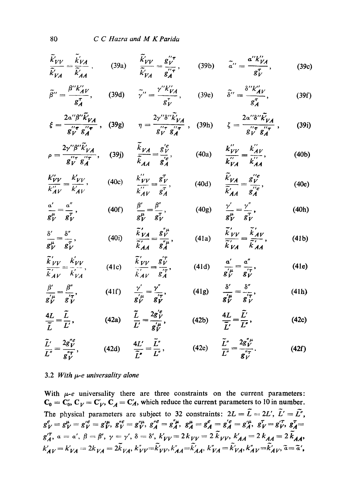C C Hazra and M K Parida

$$
\frac{\tilde{k}'_{VV}}{\tilde{k}'_{VA}} = \frac{\tilde{k}'_{VA}}{\tilde{k}'_{AA}}, \qquad (39a) \qquad \frac{\tilde{k}'_{VV}}{\tilde{k}'_{VA}} = \frac{g_{V}^{"\tau}}{g_{A}^{"\tau}}, \qquad (39b) \qquad \tilde{a}^{"\prime} = \frac{a^{"\prime}k''_{VA}}{g_{V}^{\tau}}, \qquad (39c)
$$

$$
\widetilde{\beta}^{\prime\prime} = \frac{\beta^{\prime\prime} k^{\prime\prime}_{AV}}{g_A^{\tau}}, \qquad (39d) \qquad \widetilde{\gamma}^{\prime\prime} = \frac{\gamma^{\prime\prime} k^{\prime\prime}_{VA}}{g_V^{\tau}}, \qquad (39e) \qquad \widetilde{\delta}^{\prime\prime} = \frac{\delta^{\prime\prime} k^{\prime\prime}_{AV}}{g_A^{\tau}}, \qquad (39f)
$$

$$
\xi = \frac{2\alpha''\beta''\tilde{k'}_{VA}}{g_V^{\prime\prime}\tau g_A^{\prime\prime\prime\tau}} , \quad (39g) \qquad \eta = \frac{2\gamma''\delta''\tilde{k'}_{VA}}{g_V^{\prime\prime}\tau g_A^{\prime\prime\tau}} , \quad (39h) \qquad \zeta = \frac{2\alpha''\delta''\tilde{k'}_{VA}}{g_V^{\prime\prime}\tau g_A^{\prime\prime\prime\tau}} , \quad (39i)
$$

$$
\rho = \frac{2\gamma''\beta''\tilde{k}'_{VA}}{g_V''g_A''}, \quad (39j) \qquad \frac{\tilde{k}_{VA}}{\tilde{k}_{AA}} = \frac{g_V'^e}{g_A'^e}, \qquad (40a) \qquad \frac{k_{VV}''}{k_{VA}''} = \frac{k_{AV}''}{k_{AA}''}, \qquad (40b)
$$

$$
\frac{k''_{VV}}{k''_{AV}} = \frac{k'_{VV}}{k'_{AV}},
$$
 (40c) 
$$
\frac{k''_{VV}}{k''_{AV}} = \frac{g_V^T}{g_A^T},
$$
 (40d) 
$$
\frac{\tilde{k}'_{VA}}{\tilde{k}'_{AA}} = \frac{g_V^{\prime\prime e}}{g_A^{\prime\prime e}},
$$
 (40e)

$$
\frac{\alpha'}{g_{V}^{\mu}} = \frac{\alpha''}{g_{V}^{T}}, \qquad (40f) \qquad \frac{\beta'}{g_{V}^{\mu}} = \frac{\beta''}{g_{V}^{T}}, \qquad (40g) \qquad \frac{\gamma'}{g_{V}^{\mu}} = \frac{\gamma''}{g_{V}^{T}}, \qquad (40h)
$$

$$
\frac{\delta'}{g_{V}^{\mu}} = \frac{\delta''}{g_{V}^{\tau}}, \qquad (40i) \qquad \frac{\widetilde{k}'_{VA}}{\widetilde{k}'_{AA}} = \frac{g_{V}^{\mu}}{g_{A}^{\mu}}, \qquad (41a) \qquad \frac{\widetilde{k}'_{VV}}{\widetilde{k}'_{VA}} = \frac{\widetilde{k}'_{AV}}{\widetilde{k}'_{AA}}, \qquad (41b)
$$

$$
\frac{\tilde{k}'_{VV}}{\tilde{k}'_{AV}} = \frac{k'_{VV}}{k'_{VA}},
$$
 (41c) 
$$
\frac{\tilde{k}'_{VV}}{\tilde{k}'_{AV}} = \frac{g_V^{'T}}{g_A^{'T}},
$$
 (41d) 
$$
\frac{\alpha'}{g_V^{'\mu}} = \frac{\alpha''}{g_V^{'T}},
$$
 (41e)

$$
\frac{\beta'}{g'} = \frac{\beta''}{g'}\,,\n\tag{41f} \quad\n\frac{\gamma'}{g'} = \frac{\gamma''}{g''}\,,\n\tag{41g} \quad\n\frac{\delta'}{g'} = \frac{\delta''}{g'}\,,\n\tag{41h}
$$

$$
\frac{4L}{\tilde{L}} = \frac{\tilde{L}}{L'}, \qquad (42a) \qquad \frac{\tilde{L}}{L'} = \frac{2g^{\prime \rho}}{g^{\prime \mu}} , \qquad (42b) \qquad \frac{4L}{\tilde{L}'} = \frac{\tilde{L'}}{L''}, \qquad (42c)
$$

$$
\frac{\widetilde{L}'}{L'}=\frac{2g''_V}{g''_V},\qquad(42d)\qquad\frac{4L'}{\widetilde{L}''}=\frac{\widetilde{L}''}{L''},\qquad(42e)\qquad\frac{\widetilde{L}''}{L''}=\frac{2g''_V}{g''_V}. \qquad(42f)
$$

## 3.2 With  $\mu$ -e universality alone

With  $\mu$ -e universality there are three constraints on the current parameters:  $C_0 = C'_0$ ,  $C_V = C'_V$ ,  $C_A = C'_A$ , which reduce the current parameters to 10 in number. The physical parameters are subject to 32 constraints:  $2L = \tilde{L} = 2L'$ ,  $\tilde{L}' = \tilde{L''}$ ,  $g_V^{\mu} = g_V^{\mu} = g_V^{\prime \mu} = g_V^{\prime \mu}$ ,  $g_V^{\mu} = g_V^{\mu}$ ,  $g_A^{\mu} = g_A^{\mu}$ ,  $g_A^{\mu} = g_A^{\mu} = g_A^{\prime \mu}$ ,  $g_V^{\tau} = g_V^{\tau}$ ,  $g_A^{\tau} = g_A^{\tau}$ ,  $g_V^{\tau} = g_V^{\tau}$ ,  $g_A^{\tau} = g_A^{\tau}$ ,  $a = a', \beta = \beta', \gamma = \gamma', \delta = \delta', k'_{VV} = 2k_{VV} = 2k_{VV}$ ,  $k'_{AA} = 2k_{AA}$  $k'_{A V} = k'_{V A} = 2k_{V A} = 2\tilde{k}_{V A}, k''_{V V} = \tilde{k}'_{V V}, k''_{A A} = \tilde{k}'_{A A}, k''_{V A} = \tilde{k}'_{V A}, k''_{A V} = \tilde{k}'_{A V}, \tilde{a} = \tilde{a}',$ 

80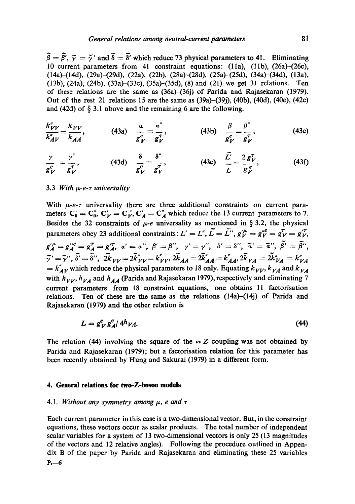$\tilde{\beta} = \tilde{\beta'}$ ,  $\tilde{\gamma} = \tilde{\gamma'}$  and  $\tilde{\delta} = \tilde{\delta'}$  which reduce 73 physical parameters to 41. Eliminating 10 current parameters from 41 constraint equations: (11a), (11b), (26a)-(26c), (14a)-(14d), (29a)-(29d), (22a), (22b), (28a)-(28d), (25a)-(25d), (34a)-(34d), (13a), (13b), (24a), (24b), (33a)-(33c), (35a)-(35d), (8) and (21) we get 31 relations. Ten of these relations are the same as (36a)-(36j) of Parida and Rajasekaran (1979). Out of the rest 21 relations 15 are the same as (39a)-(39j), (40b), (40d), (40e), (42c) and (42d) of  $\S$  3.1 above and the remaining 6 are the following.

$$
\frac{k''_{VV}}{k''_{AV}} = \frac{k_{VV}}{k_{AA}},
$$
\n(43a)  $\frac{a}{g_V^e} = \frac{a''}{g_V^{\tau}},$ \n(43b)  $\frac{\beta}{g_V^e} = \frac{\beta''}{g_V^{\tau}},$ \n(43c)

$$
\frac{\gamma}{g_V^e} = \frac{\gamma''}{g_V^T}, \qquad (43d) \frac{\delta}{g_V^e} = \frac{\delta''}{g_V^T}, \qquad (43e) \frac{\overline{L}}{L} = \frac{2 g_V^T}{g_V^e}, \qquad (43f)
$$

#### 3.3 *With µ-e-* $\tau$  *universality*

With  $\mu$ -e-r universality there are three additional constraints on current parameters  $C'_0 = C''_0$ ,  $C'_V = C''_V$ ,  $C'_A = C''_A$  which reduce the 13 current parameters to 7. Besides the 32 constraints of  $\mu$ -e universality as mentioned in § 3.2, the physical parameters obey 23 additional constraints:  $L' = L''$ ,  $\tilde{L} = \tilde{L''}$ ,  $g_V^{\prime \mu} = g_V^{\nu e} = g_V^{\tau} = g_V^{\prime \tau}$ .  $g'^{\mu}_A = g''^e_A = g^{\tau}_A = g'^{\tau}_A$ ,  $a' = a''$ ,  $\beta' = \beta''$ ,  $\gamma' = \gamma''$ ,  $\delta' = \delta''$ ,  $\tilde{a}' = \tilde{a}''$ ,  $\tilde{\beta'} = \tilde{\beta''}$ ,  $\tilde{\gamma}' = \tilde{\gamma}'', \delta' = \delta'', \ 2k_{VV} = 2k_{VV}' = k_{VV}'', \ 2k_{AA} = 2k_{AA}' = k_{AA}', 2k_{VA} = 2k_{VA}'' = k_{VA}''$  $k_{A}^{'}$  *k*  $_{A}^{'}$  which reduce the physical parameters to 18 only. Equating  $k_{VV}$ ,  $k_{VA}$  and  $k_{VA}$ with  $h_{VV}$ ,  $h_{VA}$  and  $h_{AA}$  (Parida and Rajasekaran 1979), respectively and eliminating 7 current parameters from 18 constraint equations, one obtains II factorisation relations. Ten of these are the same as the relations (14a)-(14j) of Parida and Rajasekaran (1979) and the other relation is

$$
L = g_V^e g_A^e / 4h_{VA}.\tag{44}
$$

The relation (44) involving the square of the  $\nu Z$  coupling was not obtained by Parida and Rajasekaran (1979); but a faetorisation relation for this parameter has been recently obtained by Hung and Sakurai (1979) in a different form.

#### **4. General relations for two-Z-boson models**

#### 4.1. Without any symmetry among  $\mu$ , e and  $\tau$

Each current parameter in this case is a two-dimensional vector. But, in the constraint equations, these vectors occur as scalar products. The total number of independent scalar variables for a system of 13 two-dimensional vectors is only 25 (13 magnitudes of the vectors and 12 relative angles). Following the procedure outlined in Appendix B of the paper by Parida and Rajasekaran and eliminating these 25 variables P.--6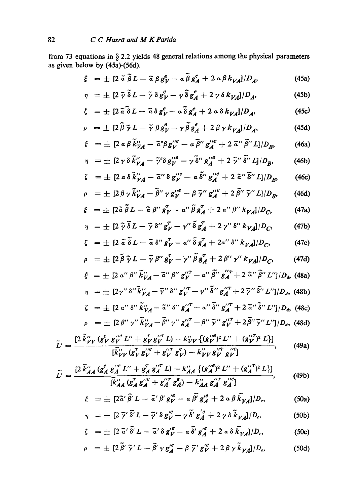from 73 equations in § 2.2 yields 48 general relations among the physical parameters as given below by **(45a)-(56d).** 

$$
\xi = \pm [2 \tilde{a} \tilde{\beta} L - \tilde{a} \beta g_V^e - a \tilde{\beta} g_A^e + 2 a \beta k_{VA}]/D_A, \qquad (45a)
$$

$$
\eta = \pm [2 \tilde{\gamma} \tilde{\delta} L - \tilde{\gamma} \delta g_V^e - \gamma \tilde{\delta} g_A^e + 2 \gamma \delta k_{VA}]/D_A, \qquad (45b)
$$

$$
\zeta = \pm \left[ 2 \tilde{a} \tilde{\delta} L - \tilde{a} \delta g_V^e - a \tilde{\delta} g_A^e + 2 a \delta k_{VA} \right] / D_A, \tag{45c}
$$

$$
\rho = \pm \left[ 2 \tilde{\beta} \tilde{\gamma} L - \tilde{\gamma} \beta g_V^e - \gamma \tilde{\beta} g_A^e + 2 \beta \gamma k_{VA} I / D_A, \right] \tag{45d}
$$

$$
\xi = \pm \left[ 2 \, \alpha \, \beta \, \widetilde{k}_{VA}^{\prime\prime} - \widetilde{\alpha}^{\prime\prime} \beta \, g_V^{\prime\prime e} - \alpha \, \widetilde{\beta}^{\prime\prime} \, g_A^{\prime\prime e} + 2 \, \widetilde{\alpha}^{\prime\prime} \, \widetilde{\beta}^{\prime\prime} \, L \right] / D_B, \tag{46a}
$$

$$
\eta = \pm \left[ 2 \gamma \delta \tilde{k}''_{VA} - \tilde{\gamma}'' \delta g''^e_V - \gamma \tilde{\delta}'' g''^e_A + 2 \tilde{\gamma}'' \tilde{\delta}'' L \right] / D_B, \qquad (46b)
$$

$$
\zeta = \pm \left[ 2 \, \mathfrak{a} \, \delta \, \widetilde{k}_{VA}^{\prime\prime} - \widetilde{\mathfrak{a}}^{\prime\prime} \, \delta \, g_V^{\prime\prime e} - \mathfrak{a} \, \widetilde{\delta}^{\prime\prime} \, g_A^{\prime\prime e} + 2 \, \widetilde{\mathfrak{a}}^{\prime\prime} \, \widetilde{\delta}^{\prime\prime} \, L \right] / D_B, \tag{46c}
$$

$$
\rho = \pm \left[ 2 \beta \gamma \tilde{k}_{VA}^{\prime\prime} - \tilde{\beta}^{\prime\prime} \gamma g_{V}^{\prime\prime} - \beta \tilde{\gamma}^{\prime\prime} g_{A}^{\prime\prime\ell} + 2 \tilde{\beta}^{\prime\prime} \tilde{\gamma}^{\prime\prime} L \right] / D_{B}, \qquad (46d)
$$

$$
\xi = \pm \left[2\tilde{a}\,\tilde{\beta}\,L - \tilde{a}\,\beta''\,g^T_V - a''\,\tilde{\beta}\,g^T_A + 2\,a''\,\beta''\,k_{VA}l/D_C,\right] \tag{47a}
$$

$$
\eta = \pm \left[ 2 \tilde{\gamma} \tilde{\delta} L - \tilde{\gamma} \delta'' g_V^T - \gamma'' \tilde{\delta} g_A^T + 2 \gamma'' \delta'' k_{VA} \right] / D_C, \qquad (47b)
$$

$$
\zeta = \pm \left[ 2 \tilde{a} \tilde{\delta} L - \tilde{a} \delta'' g_V^T - a'' \tilde{\delta} g_A^T + 2a'' \delta'' k_{VA} \right] / D_C, \tag{47c}
$$

$$
\rho = \pm [2 \beta \tilde{\gamma} L - \tilde{\gamma} \beta'' g'_{V} - \gamma'' \beta g'_{A} + 2 \beta'' \gamma'' k_{VA}]/D_{C}, \qquad (47d)
$$
  
\n
$$
\xi = \pm [2 a'' \beta'' \tilde{k}''_{VA} - \tilde{a}'' \beta'' g''_{V} - a'' \tilde{\beta}'' g''_{A} + 2 \tilde{a}'' \tilde{\beta}'' L'']/D_{a}, \qquad (48a)
$$
  
\n
$$
\eta = \pm [2 \gamma'' \delta'' \tilde{k}''_{VA} - \tilde{\gamma}'' \delta'' g''_{V} - \gamma'' \tilde{\delta}'' g''_{A} + 2 \tilde{\gamma}'' \tilde{\delta}'' L'']/D_{a}, \qquad (48b)
$$
  
\n
$$
\zeta = \pm [2 a'' \delta'' \tilde{k}''_{VA} - \tilde{a}'' \delta'' g''_{A} - a'' \tilde{\delta}'' g''_{A} + 2 \tilde{a}'' \tilde{\delta}'' L'']/D_{a}, \qquad (48c)
$$
  
\n
$$
\rho = \pm [2 \beta'' \gamma'' \tilde{k}''_{VA} - \tilde{\beta}'' \gamma'' g''_{A} - \beta'' \tilde{\gamma}'' g''_{V} + 2 \tilde{\beta}'' \tilde{\gamma}'' L'']/D_{a}, \qquad (48d)
$$

$$
\widetilde{L}' = \frac{[2 \widetilde{k}_{VV}^{"} (g_V^e g_V^{"} e_L^{"} + g_V^{\tau} g_V^{"} L) - k_{VV}^{"} \{ (g_V^{"} e)^2 L'' + (g_V^{"} f)^2 L \}]}{[\widetilde{k}_{VV}^{"} (g_V^{\tau} g_V^{"} + g_V^{"} \overline{g}_V^e) - k_{VV}^{"} g_V^{"} \overline{g}_V^{"}]}.
$$
 (49a)

$$
\widetilde{L}' = \frac{[2 \widetilde{k}''_{AA} (g_A^e g_A^{\prime\prime e} L'' + g_A^T g_A^{\prime\prime T} L) - k''_{AA} \{ (g_A^{\prime\prime e})^2 L'' + (g_A^{\prime\prime T})^2 L \}]}{[\widetilde{k}'_{AA} (g_A^T g_A^{\prime\prime e} + g_A^{\prime\prime T} g_A^e) - k''_{AA} g_A^{\prime\prime T} g_A^{\prime\prime e}]},
$$
(49b)

$$
\xi = \pm \left[2\tilde{a}'\tilde{\beta}' L - \tilde{a}'\beta' g''_{V} - a\tilde{\beta'} g'^{e}_{A} + 2 a\beta \tilde{k}_{VA}\right]/D_{e}, \qquad (50a)
$$

$$
\eta = \pm \left[ 2 \tilde{\gamma}' \tilde{\delta}' L - \tilde{\gamma}' \delta g''_V - \gamma \tilde{\delta}' g'_A + 2 \gamma \delta \tilde{k}_{VA} \right] / D_e, \tag{50b}
$$

$$
\zeta = \pm \left[ 2 \tilde{a}' \tilde{\delta}' L - \tilde{a}' \delta g''_V - a \tilde{\delta}' g''_A + 2 a \delta \tilde{k}_{VA} \right] / D_e, \tag{50c}
$$

$$
\rho = \pm \left[ 2 \tilde{\beta}' \tilde{\gamma}' L - \tilde{\beta}' \gamma g_A^{\prime e} - \beta \tilde{\gamma}' g_V^{\prime e} + 2 \beta \gamma \tilde{k}_{VA} \right] / D_e, \tag{50d}
$$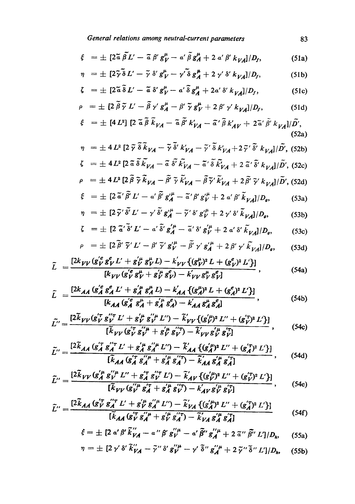*General relations among neutral-current parameters* **<sup>83</sup>**

$$
\xi = \pm \left[2\tilde{a}\,\tilde{\beta}L' - \tilde{a}\,\beta'\,g^{\mu}_{V} - a'\,\tilde{\beta}\,g^{\mu}_{A} + 2\,a'\,\beta'\,k_{VA}\right]/D_{f},\tag{51a}
$$

$$
\eta = \pm \left[2\tilde{\gamma}\,\tilde{\delta}\,L' - \tilde{\gamma}\,\delta'\,g^{\mu}_{V} - \gamma'\,\tilde{\delta}\,g^{\mu}_{A} + 2\,\gamma'\,\delta'\,k_{VA}\right]/D_f,\tag{51b}
$$

$$
\zeta = \pm \left[2\tilde{a}\,\tilde{\delta}\,L' - \tilde{a}\,\delta'\,g^{\mu}_{V} - a'\,\tilde{\delta}\,g^{\mu}_{A} + 2a'\,\delta'\,k_{VA}\right]/D_{f},\tag{51c}
$$

$$
\rho = \pm \left[ 2 \tilde{\beta} \tilde{\gamma} L' - \tilde{\beta} \gamma' g_A^{\mu} - \beta' \tilde{\gamma} g_V^{\mu} + 2 \beta' \gamma' k_{VA} \right] / D_f, \qquad (51d)
$$

$$
\xi = \pm [4 L^2] \left[ 2 \tilde{a} \beta k_{VA} - \tilde{a} \beta' k'_{VA} - \tilde{a}' \tilde{\beta} k'_{AV} + 2 \tilde{a}' \beta' k_{VA} \right] / \tilde{D}', \tag{52a}
$$

$$
\eta = \pm 4 L^2 \left[ 2 \tilde{\gamma} \tilde{\delta} \tilde{k}_{VA} - \tilde{\gamma} \tilde{\delta}' k'_{VA} - \tilde{\gamma}' \tilde{\delta} k'_{VA} + 2 \tilde{\gamma}' \tilde{\delta}' k_{VA} \right] / \tilde{D}', \text{ (52b)}
$$
  

$$
\zeta = \pm 4 L^2 \left[ 2 \tilde{\alpha} \tilde{\delta} \tilde{k}_{VA} - \tilde{\alpha} \tilde{\delta}' \tilde{k}'_{VA} - \tilde{\alpha}' \tilde{\delta} \tilde{k}'_{VA} + 2 \tilde{\alpha}' \tilde{\delta}' k_{VA} \right] / \tilde{D}', \text{ (52c)}
$$

$$
\rho = \pm 4L^2 \left[ 2 \tilde{\beta} \tilde{\gamma} \tilde{k}_{VA} - \tilde{\beta'} \tilde{\gamma} \tilde{k}'_{VA} - \tilde{\beta} \tilde{\gamma'} \tilde{k}'_{VA} + 2 \tilde{\beta'} \tilde{\gamma'} k_{VA} \right] / \tilde{D'}, \text{(52d)}
$$

$$
\dot{\xi} = \pm [2 \tilde{a}' \beta' L' - a' \tilde{\beta'} g''_{A} - \tilde{a}' \beta' g''_{V} + 2 a' \beta' \tilde{k}_{VA}] / D_{g}, \qquad (53a)
$$

$$
\eta = \pm \left[2\,\widetilde{\gamma}'\,\delta'\,L' - \gamma'\,\delta'\,g_A^{\,\mu} - \widetilde{\gamma}'\,\delta'\,g_V^{\,\mu} + 2\,\gamma'\,\delta'\,k_{VA} \right] / D_{\rho},\tag{53b}
$$

$$
\zeta = \pm \left[ 2 \frac{\tilde{a}'}{\tilde{a}'} \delta' L' - a' \delta' g_A^{\mu} - \frac{\tilde{a}'}{\tilde{a}'} \delta' g_V^{\mu} + 2 a' \delta' \tilde{k}_{VA} \right] / D_g, \qquad (53c)
$$

$$
\rho = \pm \left[2 \tilde{\beta}' \tilde{\gamma}' L' - \beta' \tilde{\gamma}' g_{V}^{\prime \mu} - \tilde{\beta}' \gamma' g_{A}^{\prime \mu} + 2 \beta' \gamma' \tilde{k}_{V A} \right] / D_g, \qquad (53d)
$$

$$
\tilde{L} = \frac{[2k_{VV}(g_V^{\nu}g_V^{\nu}L' + g_V^{\mu}g_V^{\nu}L) - k_{VV}\{(g_V^{\mu})^2 L + (g_V^{\rho})^2 L'\}]}{[k_{VV}(g_V^{\prime e}g_V^{\mu} + g_V^{\prime \mu}g_V^{\rho}) - k_{VV}^{\prime}g_V^{\mu}g_V^{\rho}]} , \qquad (54a)
$$

$$
\tilde{L} = \frac{[2k_{AA} (g_A^{\prime e} g_A^e L' + g_A^{\prime \mu} g_A^{\mu} L) - k_{AA}^{\prime} \{ (g_A^{\mu})^2 L + (g_A^e)^2 L' \}]}{[k_{AA} (g_A^{\prime e} g_A^{\mu} + g_A^{\prime \mu} g_A^e) - k_{AA}^{\prime} g_A^{\mu} g_A^e]},
$$
\n(54b)

$$
\widetilde{L}'' = \frac{[2\widetilde{k}_{VV}(g_V^{\prime\tau} g_V^{\prime\prime} L' + g_V^{\prime\mu} g_V^{\prime\prime} L'') - \widetilde{k}_{VV}' (g_V^{\prime\mu})^2 L'' + (g_V^{\prime\tau})^2 L']}{[\widetilde{k}_{VV}(g_V^{\prime\tau} g_V^{\prime\prime\mu} + g_V^{\prime\mu} g_V^{\prime\prime}) - \widetilde{k}_{VV}' g_V^{\prime\mu} g_V^{\prime\tau}]} , \qquad (54c)
$$

$$
\widetilde{L}'' = \frac{[2\widetilde{k}_{AA} (g_A'' g_A''' L' + g_A'' g_A''' L'') - \widetilde{k}_{AA}' \{ (g_A'')^2 L'' + (g_A'')^2 L' \}]}{[\widetilde{k}_{AA} (g_A'' g_A'' + g_A'' g_A''') - \widetilde{k}_{AA}' g_A'' g_A'']} , \qquad (54d)
$$

$$
\widetilde{L}^{"} = \frac{[2\widetilde{k}_{VV}(g'^{\mu}_{A}g'^{\mu}_{V}L'' + g'^{\tau}_{A}g'^{\tau}_{V}L') - \widetilde{k}'_{AV}\{(g'^{\mu}_{V})^{2}L'' + (g'^{\tau}_{V})^{2}L'\}]}{[\widetilde{k}_{VV}(g'^{\mu}_{V}g'^{\tau}_{A} + g'^{\mu}_{A}g'^{\tau}_{V}) - k'_{AV}g'^{\mu}_{V}g'^{\tau}_{V}]} , \qquad (54e)
$$

$$
\widetilde{L}^{"} = \frac{[2k_{AA}(g_V^T g_A^{"} T' + g_V^{'\mu} g_A^{"} L'') - \widetilde{k}'_{VA} \{ (g_A^{'\mu})^2 L'' + (g_A^{'T})^2 L' \}]}{[\widetilde{k}_{AA}(g_V^{'T} g_A^{"} + g_V^{'\mu} g_A^{"} - \widetilde{k}'_{VA} g_A^{'\mu} g_A^{'T}]}
$$
(54f)

$$
\xi = \pm \left[ 2 \; \alpha' \; \beta' \; \tilde{k}''_{VA} - \alpha'' \; \beta' \; g''^{\mu}_{V} - \alpha' \; \tilde{\beta}'' \; g''^{\mu}_{A} + 2 \; \tilde{\alpha}'' \; \tilde{\beta''} \; L' \right] / D_{h}, \qquad (55a)
$$

$$
\eta = \pm [2 \gamma' \delta' \widetilde{k}''_{VA} - \widetilde{\gamma}'' \delta' g''^{\mu}_{V} - \gamma' \widetilde{\delta}'' g''^{\mu}_{A} + 2 \widetilde{\gamma}'' \widetilde{\delta}'' L']/D_h, \quad (55b)
$$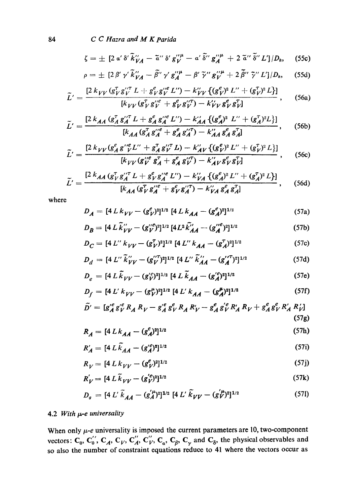84 *C C Hazra and M K parida* 

$$
\zeta = \pm \left[2 \alpha' \delta' \widetilde{k}''_{VA} - \widetilde{\alpha}'' \delta' g''^{\mu}_{V} - \alpha' \widetilde{\delta}'' g'^{\mu}_{A} + 2 \widetilde{\alpha}'' \widetilde{\delta}'' L'\right] / D_{h}, \quad (55c)
$$

$$
\rho = \pm \left[2 \beta' \gamma' \widetilde{k}''_{VA} - \widetilde{\beta''} \gamma' g''^{\mu}_{A} - \beta' \widetilde{\gamma}'' g''^{\mu}_{V} + 2 \widetilde{\beta''} \widetilde{\gamma}'' L' \right] / D_{h}, \quad (55d)
$$

$$
\widetilde{L}' = \frac{[2 k_{VV} (g_V^{\tau} g_V^{\prime \tau} L + g_V^e g_V^{\prime \prime e} L^{\prime \prime}) - k_{VV}^{\prime} \{ (g_V^e)^2 L^{\prime \prime} + (g_V^{\tau})^2 L \}]}{[k_{VV} (g_V^{\tau} g_V^{\prime \prime e} + g_V^e g_V^{\prime \prime \tau}) - k_{VV}^{\prime} g_V^e g_V^{\tau}]} \,, \quad (56a)
$$

$$
\widetilde{L}' = \frac{[2 k_{AA} (g_A^{\tau} g_A^{\prime \prime \tau} L + g_A^{\rho} g_A^{\prime \prime \rho} L^{\prime \prime}) - k_{AA}^{\prime \prime} \{ (g_A^{\rho})^2 L^{\prime \prime} + (g_A^{\tau})^2 L \}]}{[k_{AA} (g_A^{\tau} g_A^{\prime \prime \rho} + g_A^{\rho} g_A^{\prime \prime \tau}) - k_{AA}^{\prime \prime} g_A^{\rho} g_A^{\tau \tau}]} , \quad (56b)
$$

$$
\widetilde{L}' = \frac{[2 k_{VV} (g_A^e g''_V L'' + g_A^T g''_V L) - k_{AV}' (g_V^e)^2 L'' + (g_V^T)^2 L]]}{[k_{VV} (g_V^{\prime\prime e} g_A^T + g_A^e g_V^{\prime\prime T}) - k_{AV}'' g_V^e g_V^T]} \,, \quad (56c)
$$

$$
\widetilde{L}' = \frac{[2 k_{AA} (g_V^T g_A^{\prime\prime T} L + g_V^e g_A^{\prime\prime e} L^{\prime\prime}) - k_{VA}^{\prime\prime} \{ (g_A^e)^2 L^{\prime\prime} + (g_A^T)^2 L \}]}{[k_{AA} (g_V^T g_A^{\prime\prime e} + g_V^e g_A^{\prime\prime T}) - k_{VA}^{\prime\prime} g_A^e g_A^T]} \,, \quad (56d)
$$

where

$$
D_A = [4 L k_{VV} - (g_V^e)^2]^{1/2} [4 L k_{AA} - (g_A^e)^2]^{1/2}
$$
 (57a)

$$
D_B = [4 L \tilde{k}_{VV}^{"} - (g_{V}^{"}e)^2]^{1/2} [4 L^2 \tilde{k}_{AA}^{"} - (g_{A}^{"}e)^2]^{1/2}
$$
 (57b)

$$
D_C = [4 L'' k_{VV} - (g_V^{\tau})^2]^{1/2} [4 L'' k_{AA} - (g_A^{\tau})^2]^{1/2}
$$
 (57c)

$$
D_d = [4 L'' \tilde{k}_{VV}'' - (g_V''')^2]^{1/2} [4 L'' \tilde{k}_{AA}'' - (g_A''')^2]^{1/2}
$$
 (57d)

$$
D_e = [4 L \tilde{k}_{VV} - (g_V^{\prime e})^2]^{1/2} [4 L \tilde{k}_{AA} - (g_A^{\prime e})^2]^{1/2}
$$
 (57e)

$$
D_f = [4 L' k_{VV} - (g_V^{\mu})^2]^{1/2} [4 L' k_{AA} - (g_A^{\mu})^2]^{1/2}
$$
 (57f)

$$
\tilde{D}^{\prime} = [g_{A}^{\prime e} g_{V}^{\prime e} R_{A} R_{V} - g_{A}^{\prime e} g_{V}^{e} R_{A} R_{V}^{\prime} - g_{A}^{e} g_{V}^{\prime e} R_{A}^{\prime} R_{V} + g_{A}^{e} g_{V}^{e} R_{A}^{\prime} R_{V}^{\prime}]
$$
\n(57g)

$$
R_A = [4 L k_{AA} - (g_A^e)^2]^{1/2} \tag{57h}
$$

$$
R'_{A} = [4 L \tilde{k}_{AA} - (g'^{\rho}_{A})^2]^{1/2}
$$
 (57i)

$$
R_V = [4 L k_{VV} - (g_V^e)^2]^{1/2} \tag{57}
$$

$$
R_V' = [4 L \tilde{k}_{VV} - (g_V'^e)^2]^{1/2}
$$
 (57k)

$$
D_g = [4 L' \tilde{k}_{AA} - (g_A'^{\mu})^2]^{1/2} [4 L' \tilde{k}_{VV} - (g_V'^{\mu})^2]^{1/2}
$$
 (57)

## 4.2 *With t~-e universality*

When only  $\mu$ -e universality is imposed the current parameters are 10, two-component vectors:  $C_0$ ,  $C_0'$ ,  $C_A$ ,  $C_V$ ,  $C_A''$ ,  $C_V''$ ,  $C_a$ ,  $C_g$ ,  $C_v$  and  $C_\delta$ , the physical observables and so also the number of constraint equations reduce to 41 where the vectors occur as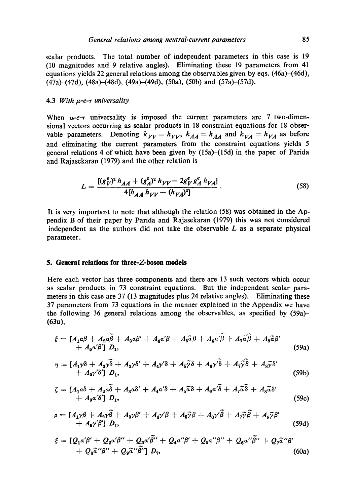scalar products. The total number of independent parameters in this case is 19 (I0 magnitudes and 9 relative angles). Eliminating these 19 parameters from 41 equations yields 22 general relations among the observables given by eqs. (46a)-(46d), (47a)-(47d), (48a)-(48d), (49a)-(49d), (50a), (50b) and (57a)-(57d).

#### 4.3 *With i~-e-r universality*

When  $\mu$ -e- $\tau$  universality is imposed the current parameters are 7 two-dimensional vectors occurring as scalar products in 18 constraint equations for 18 observable parameters. Denoting  $k_{VV} = h_{VV}$ ,  $k_{AA} = h_{AA}$  and  $k_{VA} = h_{VA}$  as before and eliminating the current parameters from the constraint equations yields 5 general relations 4 of which have been given by (15a)-(15d) in the paper of Parida and Rajasekaran (1979) and the other relation is

$$
L = \frac{[(g_V^e)^2 h_{AA} + (g_A^e)^2 h_{VV} - 2g_V^e g_A^e h_{VA}]}{4[h_{AA} h_{VV} - (h_{VA})^2]}.
$$
 (58)

It is very important to note that although the relation (58) was obtained in the Appendix B of their paper by Parida and Rajasekaran (1979) this was not considered independent as the authors did not take the observable  $L$  as a separate physical parameter.

#### **5. General relations for three-Z-boson models**

Here each vector has three components and there are 13 such vectors which occur as scalar products in 73 constraint equations. But the independent scalar parameters in this case are 37 (13 magnitudes plus 24 relative angles). Eliminating these 37 parameters from 73 equations in the manner explained in the Appendix we have the following 36 general relations among the observables, as specified by (59a)- (63u),

$$
\xi = [A_1 a\beta + A_2 a\tilde{\beta} + A_3 a\beta' + A_4 a'\beta + A_5 \tilde{a}\beta + A_6 a'\tilde{\beta} + A_7 \tilde{a}\tilde{\beta} + A_8 \tilde{a}\beta' + A_9 a'\beta'] D_1,
$$
\n(59a)

$$
\eta = [A_1\gamma\delta + A_2\gamma\delta + A_3\gamma\delta' + A_4\gamma\delta + A_5\tilde{\gamma}\delta + A_6\gamma\delta + A_7\tilde{\gamma}\delta + A_8\tilde{\gamma}\delta' + A_9\gamma\delta]
$$
\n
$$
+ A_9\gamma\delta'] D_1,
$$
\n(59b)

$$
\zeta = [A_1 a\delta + A_2 a\delta + A_3 a\delta' + A_4 a'\delta + A_5 \tilde{a}\delta + A_6 a'\delta + A_7 \tilde{a}\delta + A_8 \tilde{a}\delta' + A_9 a'\delta'] D_1,
$$
\n(59c)

$$
\rho = [A_1 \gamma \beta + A_2 \gamma \overline{\beta} + A_3 \gamma \beta' + A_4 \gamma' \beta + A_5 \overline{\gamma} \beta + A_6 \gamma' \overline{\beta} + A_7 \overline{\gamma} \overline{\beta} + A_8 \overline{\gamma} \beta' + A_9 \gamma' \beta'] D_1,
$$
\n(59d)

$$
\xi = [Q_1 \alpha' \beta' + Q_2 \alpha' \beta'' + Q_3 \alpha' \beta'' + Q_4 \alpha'' \beta' + Q_5 \alpha'' \beta'' + Q_6 \alpha'' \beta'' + Q_7 \tilde{\alpha}'' \beta' + Q_8 \tilde{\alpha}'' \beta'' + Q_9 \tilde{\alpha}'' \tilde{\beta}'']
$$
\n
$$
+ Q_8 \tilde{\alpha}'' \beta'' + Q_9 \tilde{\alpha}'' \tilde{\beta}'' ] D_7,
$$
\n(60a)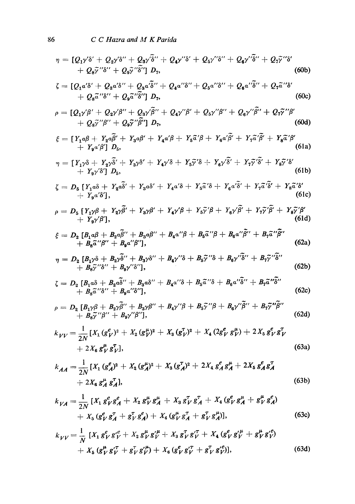*~1 : [Qa~'~' + Q2~ ,'~'' + Qs~ ,~'' + Q4y ''~' + QD/'8'' + Qe~ ''~'' + Q7~ ''~'*  + Qs~"8" + Qg~/"~'] D7, (60b) *= [Qla'3' + Q2a'\$" + Q3a'3" + Qaa"8" + Qsa"8" + Qsa'"~" + Qv~ff"\$ '*  + Qs~'"3" + Q9~"3"] D,, (60c) *p : [QD/fl ' + Q2~/fl"+ Q3~/'fl '' + Q4~/'fl ' + Qsy"fl" + Q6y"fl" + Q77"~'*  + Q87"fl" + Q97"/~'1 DT, (60d) ~: = [y~/~ + y,~, + y.~:, + Y~,~,~ + Y~,/~ + Y~,/~, + r-~,~, + r~,:, *+ YgoJfl'] D~,* (61a) *= [Y~,~ + r~fi' + Y~,~' + Y,~,'~ + Y~7'~ + rj~' +* r',7'~' + r~7'~' + y9~,'3'] /)5, (61b) *= D5 [Y~a~ + Y~'q- Y3a\$ ' + Y4a'3 + Ys"ff'8 + Yea'-3' + Y7"~;~' + Y(ff'3'*  d- Y9 a'3'], (61 c) ,o ----- D 5 [YD'fl *+ Y~fl' + YzY~' + YaY'fl + Ys~'fl + Y~"'fl' + YT~"fl' + Ys~'~' + yay'fl'],* (61d) **= D~ [B~ + ,~" + B~#" + ,~"# + .~"~ + ,~"~" + ,~Z"~"**  *+ Bs'ff"fl" + Baa"fl"],* (62a) *= D~ [BD,~ + B~"+ B3~,3" + B~,"3 + B5~"3 + Ba~,';3" + B7"~'"3"*  + B8~"3" + B99/'3"1, (62b) **= D~ [Bta3 + Baa3" +** *B3a3" + B~a"3 + BsZ"3 + B6a"~" + B~Z"3"*  **+ Bs~"3" +** *Bga"~"],* (62e) *p : Dz [BD, fl + B2yfl" + B3~fl" + BD/'fl + B57"~ + Be~,"~" + B,7"~" + B87"fl" + Bg~/'fl"],* (62d) [)(1 (g~,)~ + )(2 (g~,)z + Xa (g~..)' + X~ (2g~, *g~) + 2)(5 gevg~ V kvv = 2N*  2 t~ "r (63a) *+ x~ gvgv], 1 [X~ (geA)\* + Xz (g~)~ + Xa (g~A) 2 + 2X~ ge A g~ + 2Xs ge A g~ kAA = -~*  + 2X~ g~ g~], (63b) *1 [xlgevgeA+X~ ~ t~ -r "1" I~ e g v ga + X3 + )(4 (ge V g~ + g v ga) kvA : gv gA* 

+ 
$$
X_5 (g_V^e g_A^T + g_V^T g_A^e) + X_6 (g_V^{\mu} g_A^T + g_V^T g_A^{\mu})
$$
, (63c)  
\n
$$
k_{VV} = \frac{1}{N} [X_1 g_V^e g_V^{\prime e} + X_2 g_V^{\mu} g_V^{\prime \mu} + X_3 g_V^T g_V^{\prime \tau} + X_4 (g_V^e g_V^{\prime \mu} + g_V^{\mu} g_V^{\prime e}) + X_5 (g_V^{\mu} g_V^{\prime \tau} + g_V^T g_V^{\prime \mu}) + X_6 (g_V^e g_V^{\prime \tau} + g_V^T g_V^{\prime e})]
$$
, (63d)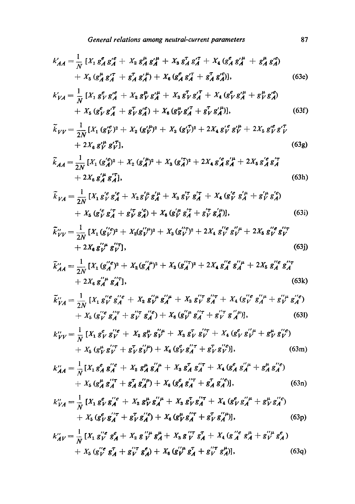$$
k'_{AA} = \frac{1}{N} \left[ X_1 g_A^e g_A^{\prime e} + X_2 g_A^{\mu} g_A^{\prime \mu} + X_3 g_A^{\tau} g_A^{\prime \tau} + X_4 (g_A^e g_A^{\prime \mu} + g_A^{\mu} g_A^{\prime e}) + X_5 (g_A^{\mu} g_A^{\prime \tau} + g_A^{\tau} g_A^{\prime \mu}) + X_6 (g_A^e g_A^{\prime \tau} + g_A^{\tau} g_A^{\prime \mu}) \right], \tag{63e}
$$

$$
k'_{VA} = \frac{1}{N} \left[ X_1 g^e_V g'^e_A + X_2 g^{\mu}_V g'^{\mu}_A + X_3 g^T_V g'^T_A + X_4 (g^e_V g'^{\mu}_A + g^{\mu}_V g'^e_A) + X_5 (g^e_V g'^T_A + g^T_V g'^e_A) + X_6 (g^{\mu}_V g'^T_A + g^T_V g'^{\mu}_A) \right],
$$
(63f)

$$
\widetilde{k}_{VV} = \frac{1}{2N} \left[ X_1 \left( g_V^{\prime e} \right)^2 + X_2 \left( g_V^{\prime \mu} \right)^2 + X_3 \left( g_V^{\prime \tau} \right)^2 + 2 X_4 \left( g_V^{\prime e} \right)^2 + 2 X_5 \left( g_V^{\prime e} \right)^2 + 2 X_6 \left( g_V^{\prime e} \right)^2 \right] + 2 X_6 \left( g_V^{\prime \mu} \right) \tag{63g}
$$

$$
\widetilde{k}_{AA} = \frac{1}{2N} \left[ X_1 \left( g_A^{\prime e} \right)^2 + X_2 \left( g_A^{\prime \mu} \right)^2 + X_3 \left( g_A^{\prime \tau} \right)^2 + 2 X_4 \left( g_A^{\prime e} \right)^2 + 2 X_5 \left( g_A^{\prime e} \right)^2 + 2 X_6 \left( g_A^{\prime e} \right)^2 + 2 X_7 \left( g_A^{\prime e} \right)^2 \right] \tag{63h}
$$

$$
\tilde{k}_{VA} = \frac{1}{2N} \left[ X_1 g_V^{'e} g_A^{'e} + X_2 g_V^{'\mu} g_A^{'\mu} + X_3 g_V^{'\tau} g_A^{'\tau} + X_4 (g_V^{'e} g_A^{'\mu} + g_V^{'\mu} g_A^{'e}) \right. \left. + X_5 (g_V^{'e} g_A^{'\tau} + g_V^{'\tau} g_A^{'e}) + X_6 (g_V^{'\mu} g_A^{'\tau} + g_V^{'\tau} g_A^{'\mu}) \right],
$$
\n(63i)

$$
\tilde{k}^{"}_{VV} = \frac{1}{2N} \left[ X_1 (g^{"\ell}_{V})^2 + X_2 (g^{"\mu}_{V})^2 + X_3 (g^{"\tau}_{V})^2 + 2X_4 g^{"\ell}_{V} g^{"\mu}_{V} + 2X_5 g^{"\ell}_{V} g^{"\tau}_{V} + 2X_6 g^{"\mu}_{V} g^{"\tau}_{V} \right],
$$
\n(63j)

$$
\tilde{k}_{AA}^{"'} = \frac{1}{2N} \left[ X_1 \left( g_A^{"\theta} \right)^2 + X_2 \left( g_A^{"\mu} \right)^2 + X_3 \left( g_A^{"\tau} \right)^2 + 2 X_4 \left( g_A^{"\theta} \right)^{a'} + 2 X_5 \left( g_A^{"\theta} \right)^{a'} + 2 X_6 \left( g_A^{"\theta} \right)^{a'} + \left( g_A^{"\theta} \right)^{a'} + \left( g_A^{"\theta} \right)^{a'} + \left( g_A^{"\theta} \right)^{a'} + \left( g_A^{"\theta} \right)^{a'} + \left( g_A^{"\theta} \right)^{a'} + \left( g_A^{"\theta} \right)^{a'} + \left( g_A^{"\theta} \right)^{a'} + \left( g_A^{"\theta} \right)^{a'} + \left( g_A^{"\theta} \right)^{a'} + \left( g_A^{"\theta} \right)^{a'} + \left( g_A^{"\theta} \right)^{a'} + \left( g_A^{"\theta} \right)^{a'} + \left( g_A^{"\theta} \right)^{a'} + \left( g_A^{"\theta} \right)^{a'} + \left( g_A^{"\theta} \right)^{a'} + \left( g_A^{"\theta} \right)^{a'} + \left( g_A^{"\theta} \right)^{a'} + \left( g_A^{"\theta} \right)^{a'} + \left( g_A^{"\theta} \right)^{a'} + \left( g_A^{"\theta} \right)^{a'} + \left( g_A^{"\theta} \right)^{a'} + \left( g_A^{"\theta} \right)^{a'} + \left( g_A^{"\theta} \right)^{a'} + \left( g_A^{"\theta} \right)^{a'} + \left( g_A^{"\theta} \right)^{a'} + \left( g_A^{"\theta} \right)^{a'} + \left( g_A^{"\theta} \right)^{a'} + \left( g_A^{"\theta} \right)^{a'} + \left( g_A^{"\theta} \right)^{a'} + \left( g_A^{"\theta} \right)^{a'} + \left( g_A^{"\theta} \right)^{a'} + \left( g_A^{"\theta} \right)^{a'} + \left( g_A^{"\theta} \right)^{a'} + \left( g_A^{"\theta} \right)^{a'} + \left( g_A^{"\theta} \right)^{a'} + \left( g_A^{"\theta} \right)^{a'} + \left( g_A^
$$

$$
\widetilde{k}''_{VA} = \frac{1}{2N} \left[ X_1 \, g''_{V} \, g''_{A} \, g'' + X_2 \, g''_{V} \, g''_{A} \, + X_3 \, g''_{V} \, g''_{A} \, + X_4 \, (g''_{V} \, g''_{A} \, + g''_{V} \, g''_{A} \, ) \right. \\ \left. + X_5 \, (g''_{V} \, g''_{A} \, + g''_{V} \, g''_{A} \, ) + X_6 \, (g''_{V} \, g''_{A} \, + g''_{V} \, g''_{A} \, ) \right], \tag{631}
$$

$$
k''_{VV} = \frac{1}{N} \left[ X_1 \, g_V^e \, g_V^{\prime\prime} e + X_2 \, g_V^\mu \, g_V^{\prime\prime} \mu + X_3 \, g_V^T \, g_V^{\prime\prime} \tau + X_4 \, (g_V^e \, g_V^{\prime\prime} \mu + g_V^\mu \, g_V^{\prime\prime} e) \right. \\ \left. + \, X_5 \, (g_V^\mu \, g_V^{\prime\prime} \tau + g_V^T \, g_V^{\prime\prime} \mu) + X_6 \, (g_V^e \, g_A^{\prime\prime} \tau + g_V^T \, g_V^{\prime\prime} e) \right], \tag{63m}
$$

$$
k_{\mathcal{A}\mathcal{A}}^{\prime\prime} = \frac{1}{N} \left[ X_1 g_{\mathcal{A}}^e g_{\mathcal{A}}^{\prime\prime e} + X_2 g_{\mathcal{A}}^{\mu} g_{\mathcal{A}}^{\prime\prime} + X_3 g_{\mathcal{A}}^{\tau} g_{\mathcal{A}}^{\prime\prime\tau} + X_4 (g_{\mathcal{A}}^e g_{\mathcal{A}}^{\prime\prime\mu} + g_{\mathcal{A}}^{\mu} g_{\mathcal{A}}^{\prime\prime e}) \right. \\ \left. + X_5 (g_{\mathcal{A}}^{\mu} g_{\mathcal{A}}^{\prime\prime\tau} + g_{\mathcal{A}}^{\tau} g_{\mathcal{A}}^{\prime\prime\mu}) + X_6 (g_{\mathcal{A}}^e g_{\mathcal{A}}^{\prime\prime\tau} + g_{\mathcal{A}}^{\tau} g_{\mathcal{A}}^{\prime\prime e}) \right], \tag{63n}
$$

$$
k''_{VA} = \frac{1}{N} \left[ X_1 g^e_V g'^{e'}_A + X_2 g^{\mu}_V g'^{\mu}_A + X_3 g^{\tau}_V g'^{\tau}_A + X_4 (g^e_V g'^{\mu}_A + g^{\mu}_V g'^{e'}_A) + X_5 (g^e_V g'^{\tau}_A + g^{\tau}_V g'^{\mu}_A) + X_6 (g^{\mu}_V g'^{\tau}_A + g^{\tau}_V g'^{\mu}_A) \right], \tag{63p}
$$

$$
k_{A V}^{\prime\prime} = \frac{1}{N} \left[ X_1 \, g_V^{\prime\prime e} \, g_A^e + X_2 \, g_V^{\prime\prime \mu} \, g_A^{\mu} + X_3 \, g_V^{\prime\prime \tau} \, g_A^{\tau} + X_4 \, (g_A^{\prime\prime e} \, g_A^{\mu} + g_V^{\prime\prime \mu} \, g_A^e) \right. \\ \left. + X_5 \, (g_V^{\prime\prime e} \, g_A^{\tau} + g_V^{\prime\prime \tau} \, g_A^e) + X_6 \, (g_V^{\prime\prime \mu} \, g_A^{\tau} + g_V^{\prime\prime \tau} \, g_A^{\mu}) \right], \tag{63q}
$$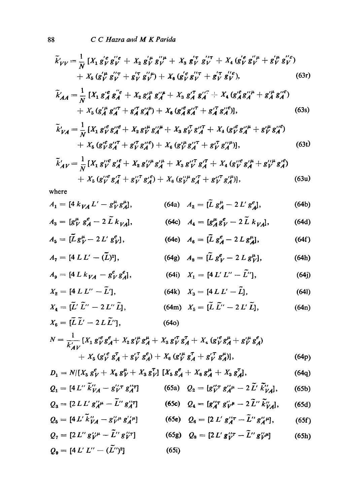$$
\widetilde{k}'_{VV} = \frac{1}{N} \left[ X_1 \, g_V^{'e} \, g_V^{'e} + X_2 \, g_V^{'\mu} \, g_V^{'\mu} + X_3 \, g_V^{'\tau} \, g_V^{'\tau} + X_4 \, (g_V^{'e} \, g_V^{'\mu} + g_V^{'\mu} \, g_V^{'e}) \right. \\
\left. + X_5 \, (g_V^{'\mu} \, g_V^{'\tau} + g_V^{'\tau} \, g_V^{'\mu}) + X_6 \, (g_V^{'e} \, g_V^{'\tau} + g_V^{'\tau} \, g_V^{'\prime e}), \right) \tag{63r}
$$

$$
\widetilde{k}'_{AA} = \frac{1}{N} \left[ X_1 g_A^{\prime e} g_A^{\prime\prime e} + X_2 g_A^{\prime \mu} g_A^{\prime\prime \mu} + X_3 g_A^{\prime \tau} g_A^{\prime\prime \tau} + X_4 (g_A^{\prime e} g_A^{\prime\prime \mu} + g_A^{\prime \mu} g_A^{\prime\prime e}) \right. \\ \left. + X_5 (g_A^{\prime \mu} g_A^{\prime\prime \tau} + g_A^{\prime \tau} g_A^{\prime\prime \mu}) + X_6 (g_A^{\prime e} g_A^{\prime\prime \tau} + g_A^{\prime \tau} g_A^{\prime\prime e}) \right], \tag{63s}
$$

$$
\tilde{k}'_{VA} = \frac{1}{N} \left[ X_1 \, g_V^{\prime e} g_A^{\prime\prime e} + X_2 \, g_V^{\prime \mu} g_A^{\prime\prime \mu} + X_3 \, g_V^{\prime \tau} g_A^{\prime\prime \tau} + X_4 \, (g_V^{\prime e} g_A^{\prime\prime \mu} + g_V^{\prime \mu} g_A^{\prime\prime e}) \right. \\
\left. + X_5 \, (g_V^{\prime e} g_A^{\prime\prime \tau} + g_V^{\prime \tau} g_A^{\prime\prime e}) + X_6 \, (g_V^{\prime \mu} g_A^{\prime\prime \tau} + g_V^{\prime \tau} g_A^{\prime\prime \mu}) \right],\n\tag{63t}
$$

$$
\tilde{k}'_{AV} = \frac{1}{N} \left[ X_1 \, g_V^{\prime\prime} \, g_A^{\prime\prime} + X_2 \, g_V^{\prime\prime \mu} \, g_A^{\prime \mu} + X_3 \, g_V^{\prime \prime} \, g_A^{\prime \prime} + X_4 \, (g_V^{\prime\prime} \, g_A^{\prime \mu} + g_V^{\prime \prime \mu} \, g_A^{\prime \ell}) \right. \\
\left. + X_5 \, (g_V^{\prime\prime} \, g_A^{\prime \, \tau} + g_V^{\prime \prime \, \tau} \, g_A^{\prime \ell}) + X_6 \, (g_V^{\prime\prime \mu} \, g_A^{\prime \, \tau} + g_V^{\prime \, \tau} \, g_A^{\prime \mu}) \right],\n\tag{63u}
$$

where

$$
A_1 = [4 k_{VA} L' - g_V^{\mu} g_A^{\mu}], \qquad (64a) \quad A_2 = [\tilde{L} g_A^{\mu} - 2 L' g_A^{\mu}], \qquad (64b)
$$

$$
A_3 = [g_V^{\mu} g_A^{\mu} - 2 \tilde{L} k_{VA}], \qquad (64c) A_4 = [g_A^{\mu} g_V^{\mu} - 2 \tilde{L} k_{VA}], \qquad (64d)
$$

$$
A_5 = [\tilde{L} g^{\mu}_{V} - 2 L' g^{\rho}_{V}], \qquad (64e) \quad A_6 = [\tilde{L} g^{\rho}_{A} - 2 L g^{\mu}_{A}], \qquad (64f)
$$

$$
A_7 = [4 L L' - (\bar{L})^2], \qquad (64g) A_8 = [\bar{L} g_V^e - 2 L g_V^{\mu}], \qquad (64h)
$$
  

$$
A = [4 L k_{\text{max}} - g_e^e g_e^e]
$$
  

$$
(64i) Y = [4 L' L'' - \tilde{L''}]
$$
  

$$
(64i)
$$

$$
A_9 = [4 L K_{VA} - g_V^{\dagger} g_A^{\dagger}], \qquad (641) \quad X_1 = [4 L' L'' - L''], \qquad (641)
$$

$$
X_2 = [4 L L'' - \tilde{L}'], \qquad (64k) \quad X_3 = [4 L L' - \tilde{L}], \qquad (64l)
$$

$$
X_4 = [\tilde{L}' \tilde{L}'' - 2 L'' \tilde{L}], \qquad (64\text{m}) \quad X_5 = [\tilde{L} \tilde{L}'' - 2 L' \tilde{L}], \qquad (64\text{n})
$$

$$
X_6 = [\tilde{L} \tilde{L}' - 2 L \tilde{L}'], \qquad (64\text{o})
$$

$$
N = \frac{1}{k'_{AV}} \left[ X_1 g_V^{\prime e} g_A^e + X_2 g_V^{\prime \mu} g_A^{\mu} + X_3 g_V^{\prime \tau} g_A^{\tau} + X_4 (g_V^{\prime e} g_A^{\mu} + g_V^{\prime \mu} g_A^e) + X_5 (g_V^{\prime e} g_A^{\tau} + g_V^{\prime \tau} g_A^e) + X_6 (g_V^{\prime \mu} g_A^{\tau} + g_V^{\prime \tau} g_A^{\mu}) \right], \tag{64p}
$$

$$
D_1 = N/[X_5 g_V^e + X_6 g_V^{\mu} + X_3 g_V^{\tau}] [X_5 g_A^e + X_6 g_A^{\mu} + X_3 g_A^{\tau}], \qquad (64q)
$$

$$
Q_1 = [4 L'' \tilde{k}''_{VA} - g'^{\dagger}_{V} \tau g'^{\dagger}_{A} T] \qquad (65a) \quad Q_2 = [g'^{\dagger}_{V} \tau g'^{\dagger}_{A} \mu - 2 \tilde{L}' \tilde{k}''_{VA}], \qquad (65b)
$$

$$
Q_3 = [2 L L' g''_{A}^{\mu} - \bar{L}^{\prime\prime} g''_{A}^{\tau}] \qquad (65c) \quad Q_4 = [g''_{A}^{\tau} g'_{V}^{\mu} - 2 \tilde{L}^{\prime\prime} \tilde{k}^{\prime\prime}_{VA}], \qquad (65d)
$$

$$
Q_5 = [4 L' k''_{VA} - g''_{V'} k'^{2}_{A'}] \qquad (65e) \quad Q_6 = [2 L' g'^{2}_{A} - L'' g'^{2}_{A'}], \qquad (65f)
$$

$$
Q_7 = [2 L'' g' \psi^{\mu} - \tilde{L}'' g' \psi^{\tau}]
$$
 (65g) 
$$
Q_8 = [2 L' g' \psi^{\tau} - \tilde{L}'' g' \psi^{\mu}]
$$
 (65h)  

$$
Q_9 = [4 L' L'' - (\tilde{L}')^2]
$$
 (65i)

$$
88\,
$$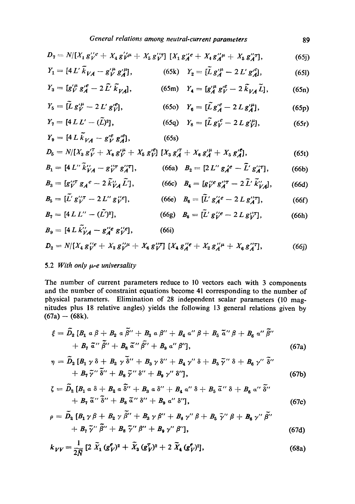$$
D_7 = N/[X_1 g_{V}^{\prime\prime} e + X_4 g_{V}^{\prime\prime} \mu + X_5 g_{V}^{\prime\prime} T] [X_1 g_{A}^{\prime\prime} e + X_4 g_{A}^{\prime\prime} \mu + X_5 g_{A}^{\prime\prime} T], \qquad (65j)
$$

$$
Y_1 = [4 L' \tilde{k}_{VA} - g_V'^{\mu} g_A'^{\mu}], \qquad (65k) \quad Y_2 = [\tilde{L} g_A'^{\mu} - 2 L' g_A'^{\rho}], \qquad (65l)
$$

$$
Y_3 = [g_{V}^{'\mu} g_{A}^{'\rho} - 2 \tilde{L'} \tilde{k}_{VA}], \qquad (65 \text{m}) \quad Y_4 = [g_{A}^{'\mu} g_{V}^{'\rho} - 2 \tilde{k}_{VA} \tilde{L}], \qquad (65 \text{n})
$$

$$
Y_5 = [\tilde{L} g'^{\mu}_V - 2 L' g'^{\rho}_V], \qquad (65c) \quad Y_6 = [\tilde{L} g'^{\rho}_A - 2 L g'^{\mu}_A], \qquad (65p)
$$

$$
Y_7 = [4 L L' - (\tilde{L})^2], \qquad (65q) \quad Y_8 = [\tilde{L} g_V^{\prime e} - 2 L g_V^{\prime \mu}], \qquad (65r)
$$
  

$$
Y_9 = [4 L \tilde{k}_{VA} - g_V^{\prime e} g_A^{\prime e}], \qquad (65s)
$$

$$
D_5 = N/[X_3 g''_V + X_6 g''_V + X_5 g''_V] [X_3 g''_A + X_6 g''_A + X_5 g''_A], \qquad (65t)
$$

$$
B_1 = [4 L'' \tilde{k}_{VA}^{\prime\prime} - g_{V}^{\prime\prime} T g_A^{\prime\prime} T], \qquad (66a) \quad B_2 = [2 L'' g_A^{\prime e} - \tilde{L}' g_A^{\prime\prime} T], \qquad (66b)
$$

$$
B_3 = [g''_{V} \, g_A{}^e - 2\,\tilde{k}''_{VA}\,\tilde{L}'], \qquad (66c) \quad B_4 = [g''_{V} \, g''_{A} \, \tilde{K}''_{VA}], \qquad (66d)
$$

$$
B_5 = [L' g''_{\nu}^{\prime\prime} - 2 L'' g''_{\nu}^{\prime\prime}], \qquad (66e) \quad B_6 = [L' g''_{A}^{\prime\prime} - 2 L g''_{A}], \qquad (66f)
$$

$$
B_7 = [4 L L'' - (L')^2], \qquad (66g) \quad B_8 = [L' g_{V}^{\prime\prime} e - 2 L g_{V}^{\prime\prime}] , \qquad (66h)
$$
  

$$
B_9 = [4 L \tilde{k}_{VA}^{\prime\prime} - g_{A}^{\prime\prime} e g_{V}^{\prime\prime} e], \qquad (66i)
$$

$$
D_2 = N/(X_4 g_{V}^{\prime\prime} e + X_2 g_{V}^{\prime\prime} \mu + X_6 g_{V}^{\prime\prime} T) [X_4 g_{A}^{\prime\prime} e + X_2 g_{A}^{\prime\prime} \mu + X_6 g_{A}^{\prime\prime} T], \qquad (66j)
$$

# 5.2 *With only*  $\mu$ *-e universality*

The number of current parameters reduce to 10 vectors each with 3 components and the number of constraint equations become 41 eorresponding to the number of physical parameters. Elimination of 28 independent scalar parameters (10 magnitudes plus 18 relative angles) yields the following 13 general relations given by  $(67a) - (68k).$ 

$$
\xi = \widetilde{D}_2 \left[ B_1 \alpha \beta + B_2 \alpha \widetilde{\beta}'' + B_3 \alpha \beta'' + B_4 \alpha'' \beta + B_5 \widetilde{\alpha}'' \beta + B_6 \alpha'' \widetilde{\beta}'' \right] + B_7 \widetilde{\alpha}'' \widetilde{\beta}'' + B_8 \widetilde{\alpha}'' \widetilde{\beta}'' + B_9 \alpha'' \beta'' \right], \tag{67a}
$$

$$
\eta = \widetilde{D}_2 \left[ B_1 \gamma \delta + B_2 \gamma \widetilde{\delta}'' + B_3 \gamma \delta'' + B_4 \gamma'' \delta + B_5 \widetilde{\gamma}'' \delta + B_6 \gamma'' \widetilde{\delta}'' \right] + B_7 \widetilde{\gamma}'' \widetilde{\delta}'' + B_8 \widetilde{\gamma}'' \delta'' + B_9 \gamma'' \delta'' \right], \tag{67b}
$$

$$
\zeta = \widetilde{D}_2 \left[ B_1 \alpha \delta + B_2 \alpha \widetilde{\delta}'' + B_3 \alpha \delta'' + B_4 \alpha'' \delta + B_5 \widetilde{\alpha}'' \delta + B_6 \alpha'' \widetilde{\delta}'' \right] + B_7 \widetilde{\alpha}'' \widetilde{\delta}'' + B_8 \widetilde{\alpha}'' \delta'' + B_9 \alpha'' \delta'' \right], \tag{67c}
$$

$$
\rho = \widetilde{D}_2 \left[ B_1 \gamma \beta + B_2 \gamma \widetilde{\beta}'' + B_3 \gamma \beta'' + B_4 \gamma'' \beta + B_5 \widetilde{\gamma}'' \beta + B_6 \gamma'' \widetilde{\beta}'' \right] + B_7 \widetilde{\gamma}'' \widetilde{\beta}'' + B_8 \widetilde{\gamma}'' \beta'' + B_9 \gamma'' \beta'' \right], \tag{67d}
$$

$$
k_{VV} = \frac{1}{2\tilde{N}} \left[ 2 \tilde{X}_1 (g_V^e)^2 + \tilde{X}_3 (g_V^{\tau})^2 + 2 \tilde{X}_4 (g_V^e)^2 \right],\tag{68a}
$$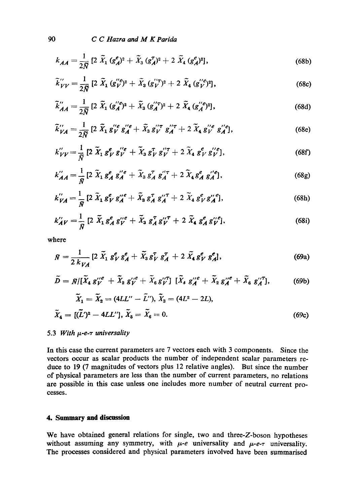$$
k_{AA} = \frac{1}{2\tilde{N}} \left[ 2 \; \tilde{X}_1 \; (g_A^e)^2 + \tilde{X}_3 \; (g_A^{\tau})^2 + 2 \; \tilde{X}_4 \; (g_A^e)^2 \right],\tag{68b}
$$

$$
\widetilde{k}_{VV}^{"'} = \frac{1}{2\widetilde{N}} \left[ 2 \; \widetilde{X}_1 \; (g_V^{"\ell})^2 + \widetilde{X}_3 \; (g_V^{"\tau})^2 + 2 \; \widetilde{X}_4 \; (g_V^{"\ell})^2 \right],\tag{68c}
$$

$$
\widetilde{k}_{AA}^{"'} = \frac{1}{2\widetilde{N}} \left[ 2 \; \widetilde{X}_1 \; (g_A^{"\,e})^2 + \widetilde{X}_3 \; (g_A^{"\tau})^2 + 2 \; \widetilde{X}_4 \; (g_A^{"\,e})^2 \right],\tag{68d}
$$

$$
\tilde{k}^{"}_{VA} = \frac{1}{2\tilde{N}} \left[ 2 \; \tilde{X}_1 \, g^{"e}_{V} \, g^{"e}_{A} + \tilde{X}_3 \, g^{"\tau}_{V} \, g^{"\tau}_{A} + 2 \; \tilde{X}_4 \, g^{"e}_{V} \, g^{"e}_{A} \right],\tag{68e}
$$

$$
k''_{VV} = \frac{1}{N} \left[ 2 \; \widetilde{X}_1 \; g^e_V \; g'^e_V + \widetilde{X}_3 \; g^T_V \; g'^T_V + 2 \; \widetilde{X}_4 \; g^e_V \; g'^e_V \right],\tag{68f}
$$

$$
k''_{AA} = \frac{1}{N} \left[ 2 \; \widetilde{X}_1 \; g_A^e \; g_A^{\prime\prime e} + \widetilde{X}_3 \; g_A^{\tau} \; g_A^{\prime\prime \tau} + 2 \; \widetilde{X}_4 \; g_A^e \; g_A^{\prime\prime e} \right],\tag{68g}
$$

$$
k_{VA}^{"'} = \frac{1}{N} \left[ 2 \; \tilde{X}_1 \; g_V^e \; g_A^{"'}e + \tilde{X}_3 \; g_A^{\tau} \; g_A^{"T} + 2 \; \tilde{X}_4 \; g_V^e \; g_A^{"'}e \right],\tag{68h}
$$

$$
k'_{A V} = \frac{1}{N} \left[ 2 \; \tilde{X}_1 \, g_A^e \, g_V^{\prime\prime e} + \tilde{X}_3 \, g_A^{\tau} \, g_V^{\prime\prime \tau} + 2 \; \tilde{X}_4 \, g_A^e \, g_V^{\prime\prime e} \right],\tag{68i}
$$

where

$$
\bar{N} = \frac{1}{2 k_{VA}} [2 \tilde{X}_1 g_V^e g_A^e + \tilde{X}_3 g_V^{\tau} g_A^{\tau} + 2 \tilde{X}_4 g_V^e g_A^e], \qquad (69a)
$$

$$
\widetilde{D} = \widetilde{N} / [\widetilde{X}_4 g^{\prime\prime e}_{V} + \widetilde{X}_2 g^{\prime\prime e}_{V} + \widetilde{X}_6 g^{\prime\prime T}_{V}] [\widetilde{X}_4 g^{\prime\prime e}_{A} + \widetilde{X}_2 g^{\prime\prime e}_{A} + \widetilde{X}_6 g^{\prime\prime T}_{A}], \qquad (69b)
$$

$$
\widetilde{X}_1 = \widetilde{X}_2 = (4LL'' - \widetilde{L}'), \widetilde{X}_3 = (4L^2 - 2L), \n\widetilde{X}_4 = [(\widetilde{L}')^2 - 4LL''], \widetilde{X}_5 = \widetilde{X}_6 = 0.
$$
\n(69c)

## 5.3 With  $\mu$ -e- $\tau$  universality

In this case the current parameters are 7 vectors each with 3 components. Since the vectors occur as scalar products the number of independent scalar parameters reduce to 19 (7 magnitudes of vectors plus 12 relative angles). But since the number of physical parameters are less than the number of current parameters, no relations are possible in this case unless one includes more number of neutral current processes.

## 4. Summary and discussion

We have obtained general relations for single, two and three-Z-boson hypotheses without assuming any symmetry, with  $\mu$ -e universality and  $\mu$ -e- $\tau$  universality. The processes considered and physical parameters involved have been summarised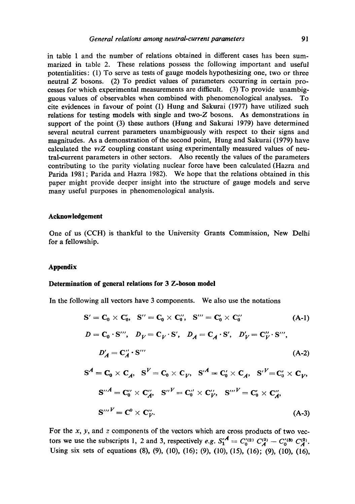in table 1 and the number of relations obtained in different cases has been summarized in table 2. These relations possess the following important and useful potentialities: (1) To serve as tests of gauge models hypothesizing one, two or three neutral Z bosons. (2) To predict values of parameters occurring in certain processes for which experimental measurements are difficult. (3) To provide unambigguous values of observables when combined with phenomenological analyses. To cite evidences in favour of point (1) Hung and Sakurai (1977) have utilized such relations for testing models with single and two-Z bosons. As demonstrations in support of the point (3) these authors (Hung and Sakurai 1979) have determined several neutral current parameters unambiguously with respect to their signs and magnitudes. As a demonstration of the second point, Hung and Sakurai (1979) have calculated the *vvZ* coupling constant using experimentally measured values of neutral-current parameters in other sectors. Also recently the values of the parameters contributing to the parity violating nuclear force have been calculated (Hazra and Parida 1981; Parida and Hazra 1982). We hope that the relations obtained in this paper might provide deeper insight into the structure of gauge models and serve many useful purposes in phenomenological analysis.

## **Acknowledgement**

One of us (CCH) is thankful to the University Grants Commission, New Delhi for a fellowship.

#### **Appendix**

#### **Determination of general relations for 3 Z-boson model**

In the following all vectors have 3 components. We also use the notations

$$
S' = C_0 \times C'_0, \quad S'' = C_0 \times C''_0, \quad S''' = C'_0 \times C''_0 \tag{A-1}
$$
\n
$$
D = C_0 \cdot S''', \quad D_V = C_V \cdot S', \quad D_A = C_A \cdot S', \quad D_V' = C_V'' \cdot S''',
$$
\n
$$
D'_A = C'_A \cdot S''' \tag{A-2}
$$
\n
$$
S^A = C_0 \times C_A, \quad S^V = C_0 \times C_V, \quad S^A = C'_0 \times C_A, \quad S^V = C'_0 \times C_V,
$$
\n
$$
S''^A = C_0'' \times C_A'', \quad S''^V = C_0'' \times C_V'', \quad S''^V = C_0' \times C_A'',
$$
\n
$$
S''''^V = C^0 \times C_V'', \tag{A-3}
$$

For the  $x$ ,  $y$ , and  $z$  components of the vectors which are cross products of two vectors we use the subscripts 1, 2 and 3, respectively *e.g.*  $S_1^{\prime A} = C_0^{\prime (2)} C_A^{(3)} - C_0^{\prime (3)} C_A^{(2)}$ . Using six sets of equations (8), (9), (10), (16); (9), (16), (16), (16), (16), (16), (16), (16),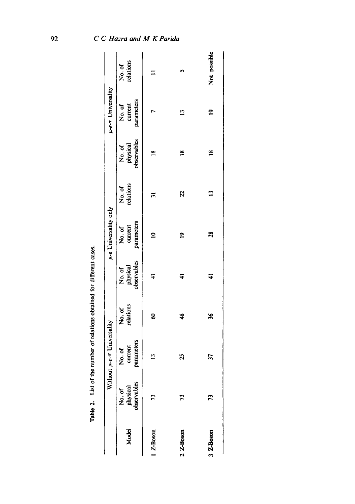|                     | Without                           | $\mu$ -e- $\tau$ Universality   |                    |                                  | u-e Universality only           |                     |                                   | $\mu$ - $e$ - $\tau$ Universality |                    |
|---------------------|-----------------------------------|---------------------------------|--------------------|----------------------------------|---------------------------------|---------------------|-----------------------------------|-----------------------------------|--------------------|
| Model               | No. of<br>physical<br>observables | parameters<br>current<br>No. of | relations<br>No.of | observables<br>physical<br>No.of | parameters<br>current<br>No. of | relations<br>No. of | observables<br>physical<br>No. of | parameters<br>current<br>No. of   | relations<br>No.of |
| 1 Z-Boson           | 73                                | ⋍                               | 8                  | $\ddot{=}$                       | $\mathbf{a}$                    | $\Xi$               | $\frac{8}{10}$                    |                                   |                    |
| $2 \text{ Z-Boson}$ | 52                                | 25                              | ¥                  | $\ddot{•}$                       | $\mathbf{a}$                    | 22                  | $\frac{8}{18}$                    | $\mathbf{r}$                      | m                  |
| 3 Z-Boson           | 73                                | 5                               | X                  | ₹                                | $\boldsymbol{\mathcal{S}}$      | $\mathbf{5}$        | $\frac{8}{10}$                    | $\mathbf{r}$                      | Not possible       |

Table 2. List of the number of relations obtained for different cases. Table 2. List of the number of relations obtained for different cases.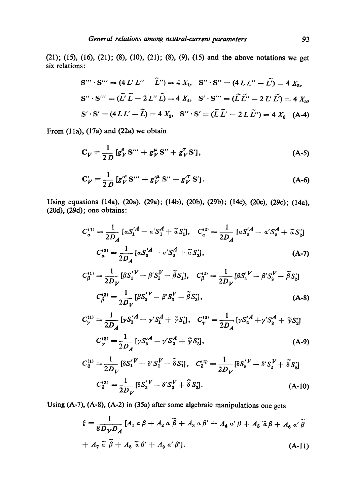(21); (15), (16), (21); (8), (10), (21); (8), (9), (15) and the above notations we get six relations:

$$
S''' \cdot S''' = (4 L' L'' - \tilde{L}'') = 4 X_1, \quad S'' \cdot S'' = (4 L L'' - \tilde{L}') = 4 X_2,
$$
  

$$
S'' \cdot S''' = (\tilde{L}' \tilde{L} - 2 L'' \tilde{L}) = 4 X_4, \quad S' \cdot S''' = (\tilde{L} \tilde{L}'' - 2 L' \tilde{L}') = 4 X_5,
$$
  

$$
S' \cdot S' = (4 L L' - \tilde{L}) = 4 X_3, \quad S'' \cdot S' = (\tilde{L} \tilde{L}' - 2 L \tilde{L}'') = 4 X_6 \quad (A-4)
$$

From (lla), (17a) and (22a) we obtain

$$
C_V = \frac{1}{2D} [g_V^e S''' + g_V^\mu S'' + g_V^\tau S'], \tag{A-5}
$$

$$
C_V' = \frac{1}{2D} \left[ g_V^{\prime e} S^{\prime\prime\prime} + g_V^{\prime \mu} S^{\prime\prime} + g_V^{\prime \tau} S^{\prime} \right]. \tag{A-6}
$$

Using equations (14a), (20a), (29a); (14b), (20b), (29b); (14c), (20c), (29c); (14a), (20d), (29d); one obtains:

$$
C_a^{(1)} = \frac{1}{2D_A} \left[ aS_1^{'A} - a'S_1^A + \tilde{a}S_1' \right], \quad C_a^{(2)} = \frac{1}{2D_A} \left[ aS_2^{'A} - a'S_2^A + \tilde{a}S_2' \right]
$$

$$
C_a^{(3)} = \frac{1}{2D_A} \left[ aS_3^{'A} - a'S_3^A + \tilde{a}S_3' \right], \tag{A-7}
$$

$$
C_{\beta}^{(1)} = \frac{1}{2D_V} [\beta S_1^{'V} - \beta' S_1^{V} - \tilde{\beta} S_1'] , \quad C_{\beta}^{(2)} = \frac{1}{2D_V} [\beta S_2^{'V} - \beta' S_2^{V} - \tilde{\beta} S_2']
$$

$$
C_{\beta}^{(3)} = \frac{1}{2D_V} [\beta S_3^{'V} - \beta' S_3^{V} - \tilde{\beta} S_3'] , \tag{A-8}
$$

$$
C_{\gamma}^{(1)} = \frac{1}{2D_A} \left[ \gamma S_1^{'A} - \gamma' S_1^A + \tilde{\gamma} S_1' \right], \quad C_{\gamma}^{(2)} = \frac{1}{2D_A} \left[ \gamma S_2^{'A} + \gamma' S_2^A + \tilde{\gamma} S_2' \right]
$$

$$
C_{\gamma}^{(3)} = \frac{1}{2D_A} \left[ \gamma S_3^{'A} - \gamma' S_3^A + \tilde{\gamma} S_3' \right], \tag{A-9}
$$

$$
C_{\delta}^{(1)} = \frac{1}{2D_V} [\delta S_1' V - \delta' S_1' V + \tilde{\delta} S_1'], \quad C_{\delta}^{(2)} = \frac{1}{2D_V} [\delta S_2' V - \delta' S_2' V + \tilde{\delta} S_2']
$$
  

$$
C_{\delta}^{(3)} = \frac{1}{2D_V} [\delta S_3' V - \delta' S_3' V + \tilde{\delta} S_3'].
$$
 (A-10)

Using (A-7), (A-8), (A-2) in (35a) after some algebraic manipulations one gets

$$
\xi = \frac{1}{8D_V D_A} \left[ A_1 a \beta + A_2 a \widetilde{\beta} + A_3 a \beta' + A_4 a' \beta + A_5 \widetilde{a} \beta + A_6 a' \widetilde{\beta} \right]
$$
  
+  $A_7 \widetilde{a} \widetilde{\beta} + A_8 \widetilde{a} \beta' + A_9 a' \beta'$ . (A-11)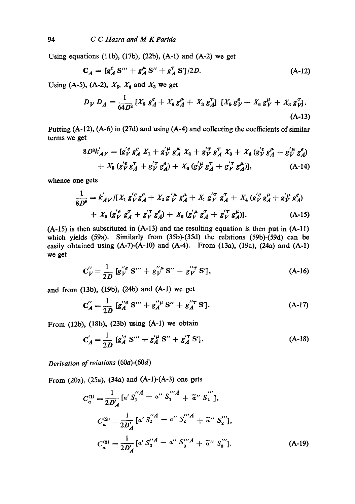Using equations (11b), (17b), (22b), (A-1) and (A-2) we get

$$
C_A = [g_A^e S''' + g_A^{\mu} S'' + g_A^{\tau} S']/2D.
$$
 (A-12)

Using (A-5), (A-2),  $X_5$ ,  $X_6$  and  $X_3$  we get

$$
D_V D_A = \frac{1}{64D^2} \left[ X_5 g_A^e + X_6 g_A^{\mu} + X_3 g_A^{\tau} \right] \left[ X_5 g_V^e + X_6 g_V^{\mu} + X_3 g_V^{\tau} \right].
$$
\n(A-13)

Putting  $(A-12)$ ,  $(A-6)$  in (27d) and using  $(A-4)$  and collecting the coefficients of similar terms we get

$$
8D^{2}k'_{AV} = [g'_{V}^{e}g_{A}^{e} X_{1} + g'_{V}^{u}g_{A}^{u} X_{2} + g'_{V}^{T}g_{A}^{T} X_{3} + X_{4}(g'_{V}^{e}g_{A}^{u} + g'_{V}^{u}g_{A}^{e})
$$
  
+  $X_{5}(g'_{V}g_{A}^{T} + g'_{V}^{T}g_{A}^{e}) + X_{6}(g'_{V}^{u}g_{A}^{T} + g'_{V}^{T}g_{A}^{u})],$  (A-14)

**whence** one gets

$$
\frac{1}{8D^2} = k'_{A V} / [X_1 g'_{V} g'_{A} + X_2 g'_{V} g'_{A} + X_3 g'_{V} g'_{A} + X_4 (g'_{V} g'_{A} + g'_{V} g'_{A}) \n+ X_5 (g'_{V} g'_{A} + g'_{V} g'_{A}) + X_6 (g'_{V} g'_{A} + g'_{V} g'_{A})].
$$
\n(A-15)

(A-15) is then substituted in (A-13) and the resulting equation is then put in (A-11) which yields (59a). Similarly from (35b)-(35d) the relations (59b)-(59d) can be easily obtained using  $(A-7)-(A-10)$  and  $(A-4)$ . From  $(13a)$ ,  $(19a)$ ,  $(24a)$  and  $(A-1)$ we get

$$
C_V'' = \frac{1}{2D} [g_V''^e S''' + g_V''^{\mu} S'' + g_V''^{\tau} S'], \tag{A-16}
$$

and from (13b), (19b), (24b) and (A-l) we get

$$
C''_A = \frac{1}{2D} [g''_A S'' + g''_A B'' + g''_A S'].
$$
 (A-17)

From (12b), (18b), (23b) using (A-l) we obtain

$$
C'_{A} = \frac{1}{2D} [g'^{e}_{A} S'' + g'^{\mu}_{A} S'' + g'^{\tau}_{A} S'].
$$
 (A-18)

*Derivation of relations* (60a)-(60d)

From (20a), (25a), (34a) and (A-1)-(A-3) one gets

$$
C_a^{(1)} = \frac{1}{2D'_A} \left[ a' S_1^{''A} - a'' S_1^{''A} + \tilde{a}'' S_1^{'''} \right],
$$
  
\n
$$
C_a^{(2)} = \frac{1}{2D'_A} \left[ a' S_2^{''A} - a'' S_2^{''A} + \tilde{a}'' S_2^{'''} \right],
$$
  
\n
$$
C_a^{(3)} = \frac{1}{2D'_A} \left[ a' S_3^{''A} - a'' S_3^{''A} + \tilde{a}'' S_3^{'''} \right].
$$
  
\n(A-19)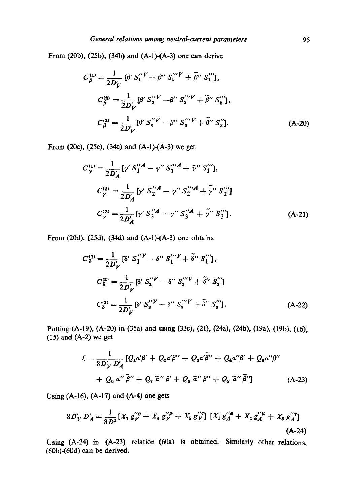From (20b), (25b), (34b) and (A-1)-(A-3) one can derive

$$
C_{\beta}^{(1)} = \frac{1}{2D'_{V}} [\beta' S_{1}^{''V} - \beta'' S_{1}^{'''V} + \tilde{\beta}'' S_{1}^{'''}],
$$
  
\n
$$
C_{\beta}^{(2)} = \frac{1}{2D'_{V}} [\beta' S_{2}^{''V} - \beta'' S_{2}^{'''V} + \tilde{\beta}'' S_{2}^{'''}],
$$
  
\n
$$
C_{\beta}^{(3)} = \frac{1}{2D'_{V}} [\beta' S_{3}^{''V} - \beta'' S_{3}^{'''V} + \tilde{\beta}'' S_{3}^{''}].
$$
  
\n(A-20)

From (20c), (25c), (34c) and (A-1)-(A-3) we get

$$
C_{\gamma}^{(1)} = \frac{1}{2D'_{A}} [\gamma' S''_{1}{}^{A} - \gamma'' S''_{1}{}^{A} + \tilde{\gamma}'' S''_{1}],
$$
  
\n
$$
C_{\gamma}^{(2)} = \frac{1}{2D'_{A}} [\gamma' S'^{A}_{2} - \gamma'' S''_{2}{}^{A} + \tilde{\gamma}'' S''_{2}]
$$
  
\n
$$
C_{\gamma}^{(3)} = \frac{1}{2D'_{A}} [\gamma' S''_{3}{}^{A} - \gamma'' S''_{3}{}^{A} + \tilde{\gamma}'' S''_{3}].
$$
 (A-21)

From (20d), (25d), (34d) and (A-I)-(A-3) one obtains

$$
C_{\delta}^{(1)} = \frac{1}{2D'_{V}} \left[ \delta' S_{1}^{"V} - \delta'' S_{1}^{"V} + \tilde{\delta}'' S_{1}^{"V} \right],
$$
  
\n
$$
C_{\delta}^{(2)} = \frac{1}{2D'_{V}} \left[ \delta' S_{2}^{"V} - \delta'' S_{2}^{"V} + \tilde{\delta}'' S_{2}^{"V} \right]
$$
  
\n
$$
C_{\delta}^{(3)} = \frac{1}{2D'_{V}} \left[ \delta' S_{3}^{"V} - \delta'' S_{3}^{"V} + \tilde{\delta}'' S_{3}^{"V} \right].
$$
  
\n(A-22)

Putting (A-19), (A-20) in (35a) and using (33e), (21), (24a), (24b), (19a), (19b), (16),  $(15)$  and  $(A-2)$  we get

$$
\xi = \frac{1}{8D'_{V}D'_{A}} [Q_{1}\alpha'\beta' + Q_{2}\alpha'\beta'' + Q_{3}\alpha'\tilde{\beta}'' + Q_{4}\alpha''\beta' + Q_{5}\alpha''\beta''
$$
  
+  $Q_{6}\alpha''\tilde{\beta}'' + Q_{7}\tilde{\alpha}''\beta' + Q_{8}\tilde{\alpha}''\beta'' + Q_{9}\tilde{\alpha}''\tilde{\beta}'']$  (A-23)

Using (A-16), (A-17) and (A-4) one gets

$$
8D'_{V} D'_{A} = \frac{1}{8D^{2}} \left[ X_{1} g''_{V} e + X_{4} g''_{V} + X_{5} g''_{V} \right] \left[ X_{1} g'^{e}_{A} e + X_{4} g''_{A} e + X_{5} g''_{A} \right]
$$
\n(A-24)

Using (A-24) in (A-23) relation (60a) is obtained. Similarly other relations, (60b)-(60d) can be derived.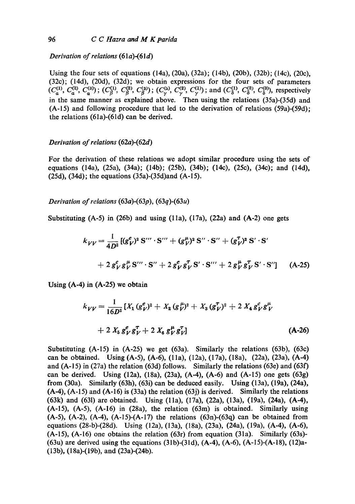*Derivation of relations* (61*a*)-(61*d*)

Using the four sets of equations (14a), (20a), (32a); (14b), (20b), (32b); (14c), (20c), (32c); (14d), (20d), (32d); we obtain expressions for the four sets of parameters  $(C_a^{(1)}, C_a^{(2)}, C_a^{(3)})$ ;  $(C_B^{(1)}, C_B^{(2)}, C_B^{(3)})$ ;  $(C_v^{(3)}, C_v^{(2)}, C_v^{(1)})$ ; and  $(C_{\delta}^{(1)}, C_{\delta}^{(2)}, C_{\delta}^{(3)})$ , respectively in the same manner as explained above. Then using the relations (35a)-(35d) and (A-15) and following procedure that led to the derivation of relations (59a)-(59d), the relations (61a)-(61d) can be derived.

## *Derivation of relations* (62a)-(62d)

For the derivation of these relations we adopt similar procedure using the sets of equations (14a), (25a), (34a); (14b); (25b), (34b); (14c), (25c), (34c); and (14d), (25d), (34d); the equations (35a)-(35d)and (A-15).

*Derivation of relations* (63a)-(63p), (63q)-(63u)

Substituting  $(A-5)$  in (26b) and using  $(11a)$ ,  $(17a)$ ,  $(22a)$  and  $(A-2)$  one gets

$$
k_{VV} = \frac{1}{4D^2} \left[ (g_V^e)^2 S''' \cdot S''' + (g_V^{\mu})^2 S'' \cdot S'' + (g_V^{\tau})^2 S' \cdot S' \right]
$$
  
+  $2 g_V^e g_V^{\mu} S''' \cdot S'' + 2 g_V^e g_V^{\tau} S' \cdot S''' + 2 g_V^{\mu} g_V^{\tau} S' \cdot S'' \right]$  (A-25)

Using (A-4) in (A-25) we obtain

$$
k_{VV} = \frac{1}{16D^2} \left[ X_1 (g_V^e)^2 + X_2 (g_V^{\mu})^2 + X_3 (g_V^{\tau})^2 + 2 X_4 g_V^e g_V^{\mu} \right]
$$
  
+ 2 X\_5 g\_V^e g\_V^{\tau} + 2 X\_6 g\_V^{\mu} g\_V^{\tau} \right] (A-26)

Substituting (A-15) in (A-25) we get (63a). Similarly the relations (63b), (63c) can be obtained. Using (A-5), (A-6), (1 la), (12a), (17a), (18a), (22a), (23a), (A-4) and  $(A-15)$  in (27a) the relation (63d) follows. Similarly the relations (63e) and (63f) can be derived. Using (12a), (18a), (23a), (A-4), (A-6) and (A-15) one gets (63g) from (30a). Similarly (63h), (63i) can be deduced easily. Using (13a), (19a), (24a),  $(A-4)$ ,  $(A-15)$  and  $(A-16)$  is  $(33a)$  the relation  $(63i)$  is derived. Similarly the relations (63k) and (631) are obtained. Using (lla), (17a), (22a), (13a), (19a), (24a), (A-4), (A-15), (A-5), (A-16) in (28a), the relation (63m) is obtained. Similarly using  $(A-5)$ ,  $(A-2)$ ,  $(A-4)$ ,  $(A-15)$ - $(A-17)$  the relations  $(63n)$ - $(63q)$  can be obtained from equations (28-b)-(28d). Using (12a), (13a), (18a), (23a), (24a), (19a), (A-4), (A-6),  $(A-15)$ ,  $(A-16)$  one obtains the relation  $(63r)$  from equation  $(31a)$ . Similarly  $(63s)$ -(63u) are derived using the equations (31b)-(31d), (A-4), (A-6), (A-15)-(A-18), (12)a-(13b), (18a)-(19b), and (23a)-(24b).